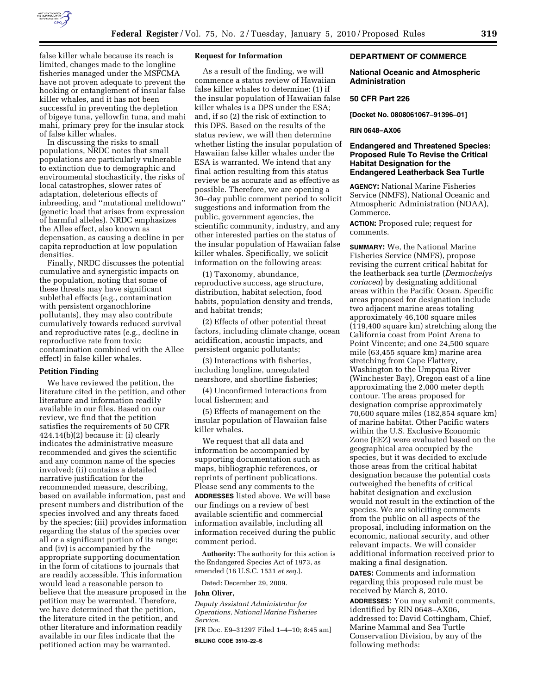

false killer whale because its reach is limited, changes made to the longline fisheries managed under the MSFCMA have not proven adequate to prevent the hooking or entanglement of insular false killer whales, and it has not been successful in preventing the depletion of bigeye tuna, yellowfin tuna, and mahi mahi, primary prey for the insular stock of false killer whales.

In discussing the risks to small populations, NRDC notes that small populations are particularly vulnerable to extinction due to demographic and environmental stochasticity, the risks of local catastrophes, slower rates of adaptation, deleterious effects of inbreeding, and ''mutational meltdown'' (genetic load that arises from expression of harmful alleles). NRDC emphasizes the Allee effect, also known as depensation, as causing a decline in per capita reproduction at low population densities.

Finally, NRDC discusses the potential cumulative and synergistic impacts on the population, noting that some of these threats may have significant sublethal effects (e.g., contamination with persistent organochlorine pollutants), they may also contribute cumulatively towards reduced survival and reproductive rates (e.g., decline in reproductive rate from toxic contamination combined with the Allee effect) in false killer whales.

#### **Petition Finding**

We have reviewed the petition, the literature cited in the petition, and other literature and information readily available in our files. Based on our review, we find that the petition satisfies the requirements of 50 CFR 424.14(b)(2) because it: (i) clearly indicates the administrative measure recommended and gives the scientific and any common name of the species involved; (ii) contains a detailed narrative justification for the recommended measure, describing, based on available information, past and present numbers and distribution of the species involved and any threats faced by the species; (iii) provides information regarding the status of the species over all or a significant portion of its range; and (iv) is accompanied by the appropriate supporting documentation in the form of citations to journals that are readily accessible. This information would lead a reasonable person to believe that the measure proposed in the petition may be warranted. Therefore, we have determined that the petition, the literature cited in the petition, and other literature and information readily available in our files indicate that the petitioned action may be warranted.

## **Request for Information**

As a result of the finding, we will commence a status review of Hawaiian false killer whales to determine: (1) if the insular population of Hawaiian false killer whales is a DPS under the ESA; and, if so (2) the risk of extinction to this DPS. Based on the results of the status review, we will then determine whether listing the insular population of Hawaiian false killer whales under the ESA is warranted. We intend that any final action resulting from this status review be as accurate and as effective as possible. Therefore, we are opening a 30–day public comment period to solicit suggestions and information from the public, government agencies, the scientific community, industry, and any other interested parties on the status of the insular population of Hawaiian false killer whales. Specifically, we solicit information on the following areas:

(1) Taxonomy, abundance, reproductive success, age structure, distribution, habitat selection, food habits, population density and trends, and habitat trends;

(2) Effects of other potential threat factors, including climate change, ocean acidification, acoustic impacts, and persistent organic pollutants;

(3) Interactions with fisheries, including longline, unregulated nearshore, and shortline fisheries;

(4) Unconfirmed interactions from local fishermen; and

(5) Effects of management on the insular population of Hawaiian false killer whales.

We request that all data and information be accompanied by supporting documentation such as maps, bibliographic references, or reprints of pertinent publications. Please send any comments to the **ADDRESSES** listed above. We will base our findings on a review of best available scientific and commercial information available, including all information received during the public comment period.

**Authority:** The authority for this action is the Endangered Species Act of 1973, as amended (16 U.S.C. 1531 *et seq.*).

Dated: December 29, 2009.

#### **John Oliver,**

*Deputy Assistant Administrator for Operations, National Marine Fisheries Service.* 

[FR Doc. E9–31297 Filed 1–4–10; 8:45 am] **BILLING CODE 3510–22–S** 

## **DEPARTMENT OF COMMERCE**

## **National Oceanic and Atmospheric Administration**

#### **50 CFR Part 226**

**[Docket No. 0808061067–91396–01]** 

## **RIN 0648–AX06**

## **Endangered and Threatened Species: Proposed Rule To Revise the Critical Habitat Designation for the Endangered Leatherback Sea Turtle**

**AGENCY:** National Marine Fisheries Service (NMFS), National Oceanic and Atmospheric Administration (NOAA), Commerce.

**ACTION:** Proposed rule; request for comments.

**SUMMARY:** We, the National Marine Fisheries Service (NMFS), propose revising the current critical habitat for the leatherback sea turtle (*Dermochelys coriacea*) by designating additional areas within the Pacific Ocean. Specific areas proposed for designation include two adjacent marine areas totaling approximately 46,100 square miles (119,400 square km) stretching along the California coast from Point Arena to Point Vincente; and one 24,500 square mile (63,455 square km) marine area stretching from Cape Flattery, Washington to the Umpqua River (Winchester Bay), Oregon east of a line approximating the 2,000 meter depth contour. The areas proposed for designation comprise approximately 70,600 square miles (182,854 square km) of marine habitat. Other Pacific waters within the U.S. Exclusive Economic Zone (EEZ) were evaluated based on the geographical area occupied by the species, but it was decided to exclude those areas from the critical habitat designation because the potential costs outweighed the benefits of critical habitat designation and exclusion would not result in the extinction of the species. We are soliciting comments from the public on all aspects of the proposal, including information on the economic, national security, and other relevant impacts. We will consider additional information received prior to making a final designation.

**DATES:** Comments and information regarding this proposed rule must be received by March 8, 2010.

**ADDRESSES:** You may submit comments, identified by RIN 0648–AX06, addressed to: David Cottingham, Chief, Marine Mammal and Sea Turtle Conservation Division, by any of the following methods: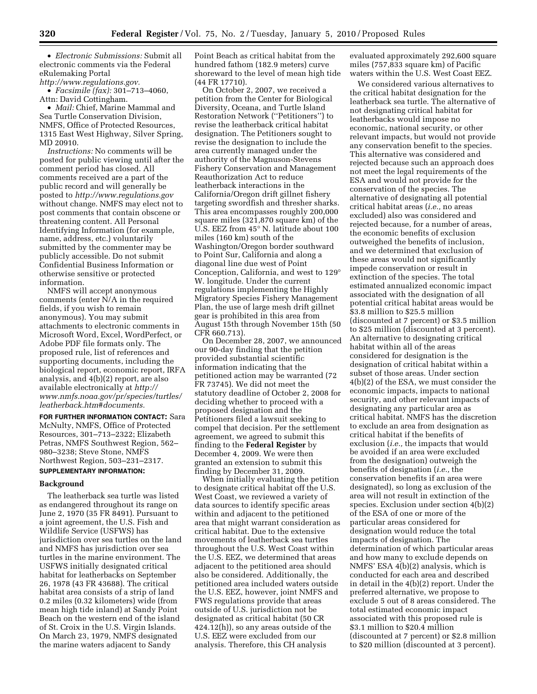• *Electronic Submissions:* Submit all electronic comments via the Federal eRulemaking Portal *http://www.regulations.gov.* 

• *Facsimile (fax):* 301–713–4060, Attn: David Cottingham.

• *Mail:* Chief, Marine Mammal and Sea Turtle Conservation Division, NMFS, Office of Protected Resources, 1315 East West Highway, Silver Spring, MD 20910.

*Instructions:* No comments will be posted for public viewing until after the comment period has closed. All comments received are a part of the public record and will generally be posted to *http://www.regulations.gov*  without change. NMFS may elect not to post comments that contain obscene or threatening content. All Personal Identifying Information (for example, name, address, etc.) voluntarily submitted by the commenter may be publicly accessible. Do not submit Confidential Business Information or otherwise sensitive or protected information.

NMFS will accept anonymous comments (enter N/A in the required fields, if you wish to remain anonymous). You may submit attachments to electronic comments in Microsoft Word, Excel, WordPerfect, or Adobe PDF file formats only. The proposed rule, list of references and supporting documents, including the biological report, economic report, IRFA analysis, and 4(b)(2) report, are also available electronically at *http:// www.nmfs.noaa.gov/pr/species/turtles/ leatherback.htm#documents.* 

**FOR FURTHER INFORMATION CONTACT:** Sara McNulty, NMFS, Office of Protected Resources, 301–713–2322; Elizabeth Petras, NMFS Southwest Region, 562– 980–3238; Steve Stone, NMFS Northwest Region, 503–231–2317.

# **SUPPLEMENTARY INFORMATION:**

#### **Background**

The leatherback sea turtle was listed as endangered throughout its range on June 2, 1970 (35 FR 8491). Pursuant to a joint agreement, the U.S. Fish and Wildlife Service (USFWS) has jurisdiction over sea turtles on the land and NMFS has jurisdiction over sea turtles in the marine environment. The USFWS initially designated critical habitat for leatherbacks on September 26, 1978 (43 FR 43688). The critical habitat area consists of a strip of land 0.2 miles (0.32 kilometers) wide (from mean high tide inland) at Sandy Point Beach on the western end of the island of St. Croix in the U.S. Virgin Islands. On March 23, 1979, NMFS designated the marine waters adjacent to Sandy

Point Beach as critical habitat from the hundred fathom (182.9 meters) curve shoreward to the level of mean high tide (44 FR 17710).

On October 2, 2007, we received a petition from the Center for Biological Diversity, Oceana, and Turtle Island Restoration Network (''Petitioners'') to revise the leatherback critical habitat designation. The Petitioners sought to revise the designation to include the area currently managed under the authority of the Magnuson-Stevens Fishery Conservation and Management Reauthorization Act to reduce leatherback interactions in the California/Oregon drift gillnet fishery targeting swordfish and thresher sharks. This area encompasses roughly 200,000 square miles (321,870 square km) of the U.S. EEZ from 45° N. latitude about 100 miles (160 km) south of the Washington/Oregon border southward to Point Sur, California and along a diagonal line due west of Point Conception, California, and west to 129° W. longitude. Under the current regulations implementing the Highly Migratory Species Fishery Management Plan, the use of large mesh drift gillnet gear is prohibited in this area from August 15th through November 15th (50 CFR 660.713).

On December 28, 2007, we announced our 90-day finding that the petition provided substantial scientific information indicating that the petitioned action may be warranted (72 FR 73745). We did not meet the statutory deadline of October 2, 2008 for deciding whether to proceed with a proposed designation and the Petitioners filed a lawsuit seeking to compel that decision. Per the settlement agreement, we agreed to submit this finding to the **Federal Register** by December 4, 2009. We were then granted an extension to submit this finding by December 31, 2009.

When initially evaluating the petition to designate critical habitat off the U.S. West Coast, we reviewed a variety of data sources to identify specific areas within and adjacent to the petitioned area that might warrant consideration as critical habitat. Due to the extensive movements of leatherback sea turtles throughout the U.S. West Coast within the U.S. EEZ, we determined that areas adjacent to the petitioned area should also be considered. Additionally, the petitioned area included waters outside the U.S. EEZ, however, joint NMFS and FWS regulations provide that areas outside of U.S. jurisdiction not be designated as critical habitat (50 CR 424.12(h)), so any areas outside of the U.S. EEZ were excluded from our analysis. Therefore, this CH analysis

evaluated approximately 292,600 square miles (757,833 square km) of Pacific waters within the U.S. West Coast EEZ.

We considered various alternatives to the critical habitat designation for the leatherback sea turtle. The alternative of not designating critical habitat for leatherbacks would impose no economic, national security, or other relevant impacts, but would not provide any conservation benefit to the species. This alternative was considered and rejected because such an approach does not meet the legal requirements of the ESA and would not provide for the conservation of the species. The alternative of designating all potential critical habitat areas (*i.e.,* no areas excluded) also was considered and rejected because, for a number of areas, the economic benefits of exclusion outweighed the benefits of inclusion, and we determined that exclusion of these areas would not significantly impede conservation or result in extinction of the species. The total estimated annualized economic impact associated with the designation of all potential critical habitat areas would be \$3.8 million to \$25.5 million (discounted at 7 percent) or \$3.5 million to \$25 million (discounted at 3 percent). An alternative to designating critical habitat within all of the areas considered for designation is the designation of critical habitat within a subset of those areas. Under section 4(b)(2) of the ESA, we must consider the economic impacts, impacts to national security, and other relevant impacts of designating any particular area as critical habitat. NMFS has the discretion to exclude an area from designation as critical habitat if the benefits of exclusion (*i.e.,* the impacts that would be avoided if an area were excluded from the designation) outweigh the benefits of designation (*i.e.,* the conservation benefits if an area were designated), so long as exclusion of the area will not result in extinction of the species. Exclusion under section 4(b)(2) of the ESA of one or more of the particular areas considered for designation would reduce the total impacts of designation. The determination of which particular areas and how many to exclude depends on NMFS' ESA 4(b)(2) analysis, which is conducted for each area and described in detail in the 4(b)(2) report. Under the preferred alternative, we propose to exclude 5 out of 8 areas considered. The total estimated economic impact associated with this proposed rule is \$3.1 million to \$20.4 million (discounted at 7 percent) or \$2.8 million to \$20 million (discounted at 3 percent).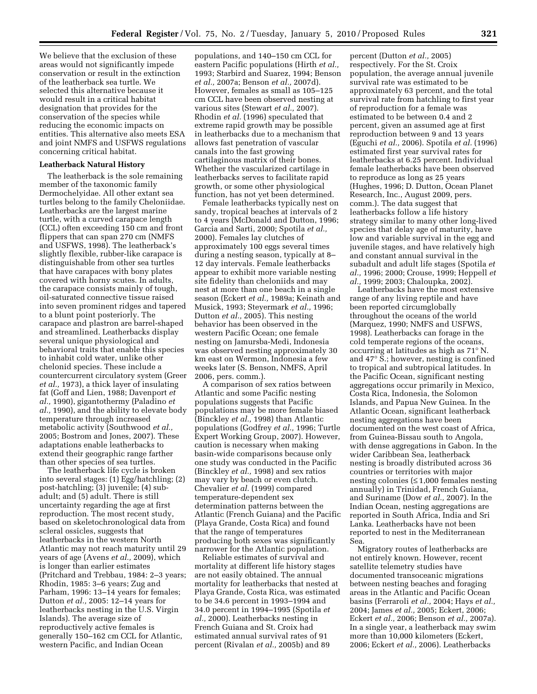We believe that the exclusion of these areas would not significantly impede conservation or result in the extinction of the leatherback sea turtle. We selected this alternative because it would result in a critical habitat designation that provides for the conservation of the species while reducing the economic impacts on entities. This alternative also meets ESA and joint NMFS and USFWS regulations concerning critical habitat.

## **Leatherback Natural History**

The leatherback is the sole remaining member of the taxonomic family Dermochelyidae. All other extant sea turtles belong to the family Cheloniidae. Leatherbacks are the largest marine turtle, with a curved carapace length (CCL) often exceeding 150 cm and front flippers that can span 270 cm (NMFS and USFWS, 1998). The leatherback's slightly flexible, rubber-like carapace is distinguishable from other sea turtles that have carapaces with bony plates covered with horny scutes. In adults, the carapace consists mainly of tough, oil-saturated connective tissue raised into seven prominent ridges and tapered to a blunt point posteriorly. The carapace and plastron are barrel-shaped and streamlined. Leatherbacks display several unique physiological and behavioral traits that enable this species to inhabit cold water, unlike other chelonid species. These include a countercurrent circulatory system (Greer *et al.,* 1973), a thick layer of insulating fat (Goff and Lien, 1988; Davenport *et al.,* 1990), gigantothermy (Paladino *et al.,* 1990), and the ability to elevate body temperature through increased metabolic activity (Southwood *et al.,*  2005; Bostrom and Jones, 2007). These adaptations enable leatherbacks to extend their geographic range farther than other species of sea turtles.

The leatherback life cycle is broken into several stages: (1) Egg/hatchling; (2) post-hatchling; (3) juvenile; (4) subadult; and (5) adult. There is still uncertainty regarding the age at first reproduction. The most recent study, based on skeletochronological data from scleral ossicles, suggests that leatherbacks in the western North Atlantic may not reach maturity until 29 years of age (Avens *et al.,* 2009), which is longer than earlier estimates (Pritchard and Trebbau, 1984: 2–3 years; Rhodin, 1985: 3–6 years; Zug and Parham, 1996: 13–14 years for females; Dutton *et al.,* 2005: 12–14 years for leatherbacks nesting in the U.S. Virgin Islands). The average size of reproductively active females is generally 150–162 cm CCL for Atlantic, western Pacific, and Indian Ocean

populations, and 140–150 cm CCL for eastern Pacific populations (Hirth *et al.,*  1993; Starbird and Suarez, 1994; Benson *et al.,* 2007a; Benson *et al.,* 2007d). However, females as small as 105–125 cm CCL have been observed nesting at various sites (Stewart *et al.,* 2007). Rhodin *et al.* (1996) speculated that extreme rapid growth may be possible in leatherbacks due to a mechanism that allows fast penetration of vascular canals into the fast growing cartilaginous matrix of their bones. Whether the vascularized cartilage in leatherbacks serves to facilitate rapid growth, or some other physiological function, has not yet been determined.

Female leatherbacks typically nest on sandy, tropical beaches at intervals of 2 to 4 years (McDonald and Dutton, 1996; Garcia and Sarti, 2000; Spotila *et al.,*  2000). Females lay clutches of approximately 100 eggs several times during a nesting season, typically at 8– 12 day intervals. Female leatherbacks appear to exhibit more variable nesting site fidelity than cheloniids and may nest at more than one beach in a single season (Eckert *et al.,* 1989a; Keinath and Musick, 1993; Steyermark *et al.,* 1996; Dutton *et al.,* 2005). This nesting behavior has been observed in the western Pacific Ocean; one female nesting on Jamursba-Medi, Indonesia was observed nesting approximately 30 km east on Wermon, Indonesia a few weeks later (S. Benson, NMFS, April 2006, pers. comm.).

A comparison of sex ratios between Atlantic and some Pacific nesting populations suggests that Pacific populations may be more female biased (Binckley *et al.,* 1998) than Atlantic populations (Godfrey *et al.,* 1996; Turtle Expert Working Group, 2007). However, caution is necessary when making basin-wide comparisons because only one study was conducted in the Pacific (Binckley *et al.,* 1998) and sex ratios may vary by beach or even clutch. Chevalier *et al.* (1999) compared temperature-dependent sex determination patterns between the Atlantic (French Guiana) and the Pacific (Playa Grande, Costa Rica) and found that the range of temperatures producing both sexes was significantly narrower for the Atlantic population.

Reliable estimates of survival and mortality at different life history stages are not easily obtained. The annual mortality for leatherbacks that nested at Playa Grande, Costa Rica, was estimated to be 34.6 percent in 1993–1994 and 34.0 percent in 1994–1995 (Spotila *et al.,* 2000). Leatherbacks nesting in French Guiana and St. Croix had estimated annual survival rates of 91 percent (Rivalan *et al.,* 2005b) and 89

percent (Dutton *et al.,* 2005) respectively. For the St. Croix population, the average annual juvenile survival rate was estimated to be approximately 63 percent, and the total survival rate from hatchling to first year of reproduction for a female was estimated to be between 0.4 and 2 percent, given an assumed age at first reproduction between 9 and 13 years (Eguchi *et al.,* 2006). Spotila *et al.* (1996) estimated first year survival rates for leatherbacks at 6.25 percent. Individual female leatherbacks have been observed to reproduce as long as 25 years (Hughes, 1996; D. Dutton, Ocean Planet Research, Inc., August 2009, pers. comm.). The data suggest that leatherbacks follow a life history strategy similar to many other long-lived species that delay age of maturity, have low and variable survival in the egg and juvenile stages, and have relatively high and constant annual survival in the subadult and adult life stages (Spotila *et al.,* 1996; 2000; Crouse, 1999; Heppell *et al.,* 1999; 2003; Chaloupka, 2002).

Leatherbacks have the most extensive range of any living reptile and have been reported circumglobally throughout the oceans of the world (Marquez, 1990; NMFS and USFWS, 1998). Leatherbacks can forage in the cold temperate regions of the oceans, occurring at latitudes as high as 71° N. and 47° S.; however, nesting is confined to tropical and subtropical latitudes. In the Pacific Ocean, significant nesting aggregations occur primarily in Mexico, Costa Rica, Indonesia, the Solomon Islands, and Papua New Guinea. In the Atlantic Ocean, significant leatherback nesting aggregations have been documented on the west coast of Africa, from Guinea-Bissau south to Angola, with dense aggregations in Gabon. In the wider Caribbean Sea, leatherback nesting is broadly distributed across 36 countries or territories with major nesting colonies (≤ 1,000 females nesting annually) in Trinidad, French Guiana, and Suriname (Dow *et al.,* 2007). In the Indian Ocean, nesting aggregations are reported in South Africa, India and Sri Lanka. Leatherbacks have not been reported to nest in the Mediterranean Sea.

Migratory routes of leatherbacks are not entirely known. However, recent satellite telemetry studies have documented transoceanic migrations between nesting beaches and foraging areas in the Atlantic and Pacific Ocean basins (Ferraroli *et al.,* 2004; Hays *et al.,*  2004; James *et al.,* 2005; Eckert, 2006; Eckert *et al.,* 2006; Benson *et al.,* 2007a). In a single year, a leatherback may swim more than 10,000 kilometers (Eckert, 2006; Eckert *et al.,* 2006). Leatherbacks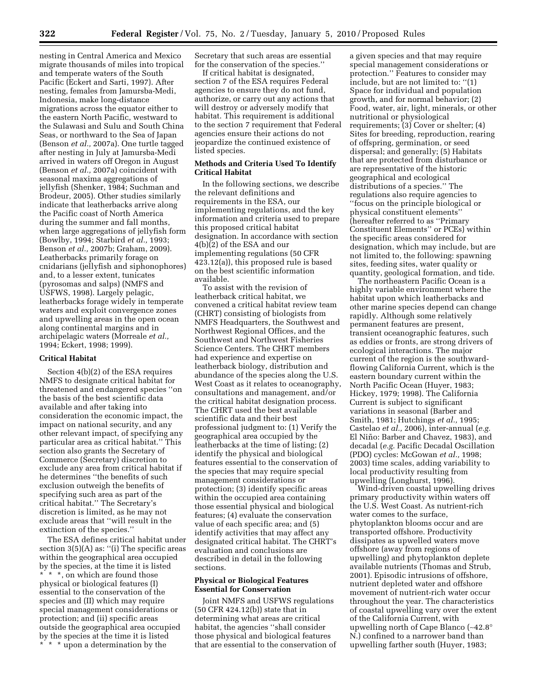nesting in Central America and Mexico migrate thousands of miles into tropical and temperate waters of the South Pacific (Eckert and Sarti, 1997). After nesting, females from Jamursba-Medi, Indonesia, make long-distance migrations across the equator either to the eastern North Pacific, westward to the Sulawasi and Sulu and South China Seas, or northward to the Sea of Japan (Benson *et al.,* 2007a). One turtle tagged after nesting in July at Jamursba-Medi arrived in waters off Oregon in August (Benson *et al.,* 2007a) coincident with seasonal maxima aggregations of jellyfish (Shenker, 1984; Suchman and Brodeur, 2005). Other studies similarly indicate that leatherbacks arrive along the Pacific coast of North America during the summer and fall months, when large aggregations of jellyfish form (Bowlby, 1994; Starbird *et al.,* 1993; Benson *et al.,* 2007b; Graham, 2009). Leatherbacks primarily forage on cnidarians (jellyfish and siphonophores) and, to a lesser extent, tunicates (pyrosomas and salps) (NMFS and USFWS, 1998). Largely pelagic, leatherbacks forage widely in temperate waters and exploit convergence zones and upwelling areas in the open ocean along continental margins and in archipelagic waters (Morreale *et al.,*  1994; Eckert, 1998; 1999).

### **Critical Habitat**

Section 4(b)(2) of the ESA requires NMFS to designate critical habitat for threatened and endangered species ''on the basis of the best scientific data available and after taking into consideration the economic impact, the impact on national security, and any other relevant impact, of specifying any particular area as critical habitat.'' This section also grants the Secretary of Commerce (Secretary) discretion to exclude any area from critical habitat if he determines ''the benefits of such exclusion outweigh the benefits of specifying such area as part of the critical habitat.'' The Secretary's discretion is limited, as he may not exclude areas that ''will result in the extinction of the species.''

The ESA defines critical habitat under section  $3(5)(A)$  as: "(i) The specific areas within the geographical area occupied by the species, at the time it is listed \* \* \*, on which are found those physical or biological features (I) essential to the conservation of the species and (II) which may require special management considerations or protection; and (ii) specific areas outside the geographical area occupied by the species at the time it is listed \* \* \* upon a determination by the

Secretary that such areas are essential for the conservation of the species.''

If critical habitat is designated, section 7 of the ESA requires Federal agencies to ensure they do not fund, authorize, or carry out any actions that will destroy or adversely modify that habitat. This requirement is additional to the section 7 requirement that Federal agencies ensure their actions do not jeopardize the continued existence of listed species.

## **Methods and Criteria Used To Identify Critical Habitat**

In the following sections, we describe the relevant definitions and requirements in the ESA, our implementing regulations, and the key information and criteria used to prepare this proposed critical habitat designation. In accordance with section 4(b)(2) of the ESA and our implementing regulations (50 CFR 423.12(a)), this proposed rule is based on the best scientific information available.

To assist with the revision of leatherback critical habitat, we convened a critical habitat review team (CHRT) consisting of biologists from NMFS Headquarters, the Southwest and Northwest Regional Offices, and the Southwest and Northwest Fisheries Science Centers. The CHRT members had experience and expertise on leatherback biology, distribution and abundance of the species along the U.S. West Coast as it relates to oceanography, consultations and management, and/or the critical habitat designation process. The CHRT used the best available scientific data and their best professional judgment to: (1) Verify the geographical area occupied by the leatherbacks at the time of listing; (2) identify the physical and biological features essential to the conservation of the species that may require special management considerations or protection; (3) identify specific areas within the occupied area containing those essential physical and biological features; (4) evaluate the conservation value of each specific area; and (5) identify activities that may affect any designated critical habitat. The CHRT's evaluation and conclusions are described in detail in the following sections.

## **Physical or Biological Features Essential for Conservation**

Joint NMFS and USFWS regulations (50 CFR 424.12(b)) state that in determining what areas are critical habitat, the agencies ''shall consider those physical and biological features that are essential to the conservation of

a given species and that may require special management considerations or protection.'' Features to consider may include, but are not limited to: ''(1) Space for individual and population growth, and for normal behavior; (2) Food, water, air, light, minerals, or other nutritional or physiological requirements; (3) Cover or shelter; (4) Sites for breeding, reproduction, rearing of offspring, germination, or seed dispersal; and generally; (5) Habitats that are protected from disturbance or are representative of the historic geographical and ecological distributions of a species.'' The regulations also require agencies to ''focus on the principle biological or physical constituent elements'' (hereafter referred to as ''Primary Constituent Elements'' or PCEs) within the specific areas considered for designation, which may include, but are not limited to, the following: spawning sites, feeding sites, water quality or quantity, geological formation, and tide.

The northeastern Pacific Ocean is a highly variable environment where the habitat upon which leatherbacks and other marine species depend can change rapidly. Although some relatively permanent features are present, transient oceanographic features, such as eddies or fronts, are strong drivers of ecological interactions. The major current of the region is the southwardflowing California Current, which is the eastern boundary current within the North Pacific Ocean (Huyer, 1983; Hickey, 1979; 1998). The California Current is subject to significant variations in seasonal (Barber and Smith, 1981; Hutchings *et al.,* 1995; Castelao *et al.,* 2006), inter-annual (*e.g.*  El Niño: Barber and Chavez, 1983), and decadal (*e.g.* Pacific Decadal Oscillation (PDO) cycles: McGowan *et al.,* 1998; 2003) time scales, adding variability to local productivity resulting from upwelling (Longhurst, 1996).

Wind-driven coastal upwelling drives primary productivity within waters off the U.S. West Coast. As nutrient-rich water comes to the surface, phytoplankton blooms occur and are transported offshore. Productivity dissipates as upwelled waters move offshore (away from regions of upwelling) and phytoplankton deplete available nutrients (Thomas and Strub, 2001). Episodic intrusions of offshore, nutrient depleted water and offshore movement of nutrient-rich water occur throughout the year. The characteristics of coastal upwelling vary over the extent of the California Current, with upwelling north of Cape Blanco (∼42.8° N.) confined to a narrower band than upwelling farther south (Huyer, 1983;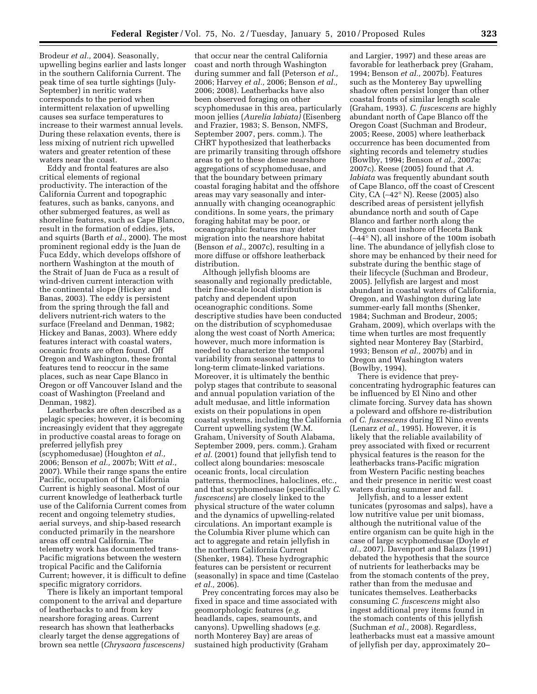Brodeur *et al.,* 2004). Seasonally, upwelling begins earlier and lasts longer in the southern California Current. The peak time of sea turtle sightings (July-September) in neritic waters corresponds to the period when intermittent relaxation of upwelling causes sea surface temperatures to increase to their warmest annual levels. During these relaxation events, there is less mixing of nutrient rich upwelled waters and greater retention of these waters near the coast.

Eddy and frontal features are also critical elements of regional productivity. The interaction of the California Current and topographic features, such as banks, canyons, and other submerged features, as well as shoreline features, such as Cape Blanco, result in the formation of eddies, jets, and squirts (Barth *et al.,* 2000). The most prominent regional eddy is the Juan de Fuca Eddy, which develops offshore of northern Washington at the mouth of the Strait of Juan de Fuca as a result of wind-driven current interaction with the continental slope (Hickey and Banas, 2003). The eddy is persistent from the spring through the fall and delivers nutrient-rich waters to the surface (Freeland and Denman, 1982; Hickey and Banas, 2003). Where eddy features interact with coastal waters, oceanic fronts are often found. Off Oregon and Washington, these frontal features tend to reoccur in the same places, such as near Cape Blanco in Oregon or off Vancouver Island and the coast of Washington (Freeland and Denman, 1982).

Leatherbacks are often described as a pelagic species; however, it is becoming increasingly evident that they aggregate in productive coastal areas to forage on preferred jellyfish prey (scyphomedusae) (Houghton *et al.,*  2006; Benson *et al.,* 2007b; Witt *et al.,*  2007). While their range spans the entire Pacific, occupation of the California Current is highly seasonal. Most of our current knowledge of leatherback turtle use of the California Current comes from recent and ongoing telemetry studies, aerial surveys, and ship-based research conducted primarily in the nearshore areas off central California. The telemetry work has documented trans-Pacific migrations between the western tropical Pacific and the California Current; however, it is difficult to define specific migratory corridors.

There is likely an important temporal component to the arrival and departure of leatherbacks to and from key nearshore foraging areas. Current research has shown that leatherbacks clearly target the dense aggregations of brown sea nettle (*Chrysaora fuscescens)* 

that occur near the central California coast and north through Washington during summer and fall (Peterson *et al.,*  2006; Harvey *et al.,* 2006; Benson *et al.,*  2006; 2008). Leatherbacks have also been observed foraging on other scyphomedusae in this area, particularly moon jellies (*Aurelia labiata)* (Eisenberg and Frazier, 1983; S. Benson, NMFS, September 2007, pers. comm.). The CHRT hypothesized that leatherbacks are primarily transiting through offshore areas to get to these dense nearshore aggregations of scyphomedusae, and that the boundary between primary coastal foraging habitat and the offshore areas may vary seasonally and interannually with changing oceanographic conditions. In some years, the primary foraging habitat may be poor, or oceanographic features may deter migration into the nearshore habitat (Benson *et al.,* 2007c), resulting in a more diffuse or offshore leatherback distribution.

Although jellyfish blooms are seasonally and regionally predictable, their fine-scale local distribution is patchy and dependent upon oceanographic conditions. Some descriptive studies have been conducted on the distribution of scyphomedusae along the west coast of North America; however, much more information is needed to characterize the temporal variability from seasonal patterns to long-term climate-linked variations. Moreover, it is ultimately the benthic polyp stages that contribute to seasonal and annual population variation of the adult medusae, and little information exists on their populations in open coastal systems, including the California Current upwelling system (W.M. Graham, University of South Alabama, September 2009, pers. comm.). Graham *et al.* (2001) found that jellyfish tend to collect along boundaries: mesoscale oceanic fronts, local circulation patterns, thermoclines, haloclines, etc., and that scyphomedusae (specifically *C. fuscescens*) are closely linked to the physical structure of the water column and the dynamics of upwelling-related circulations. An important example is the Columbia River plume which can act to aggregate and retain jellyfish in the northern California Current (Shenker, 1984). These hydrographic features can be persistent or recurrent (seasonally) in space and time (Castelao *et al.,* 2006).

Prey concentrating forces may also be fixed in space and time associated with geomorphologic features (*e.g.*  headlands, capes, seamounts, and canyons). Upwelling shadows (*e.g.*  north Monterey Bay) are areas of sustained high productivity (Graham

and Largier, 1997) and these areas are favorable for leatherback prey (Graham, 1994; Benson *et al.,* 2007b). Features such as the Monterey Bay upwelling shadow often persist longer than other coastal fronts of similar length scale (Graham, 1993). *C. fuscescens* are highly abundant north of Cape Blanco off the Oregon Coast (Suchman and Brodeur, 2005; Reese, 2005) where leatherback occurrence has been documented from sighting records and telemetry studies (Bowlby, 1994; Benson *et al.,* 2007a; 2007c). Reese (2005) found that *A. labiata* was frequently abundant south of Cape Blanco, off the coast of Crescent City, CA (∼42° N). Reese (2005) also described areas of persistent jellyfish abundance north and south of Cape Blanco and farther north along the Oregon coast inshore of Heceta Bank (∼44° N), all inshore of the 100m isobath line. The abundance of jellyfish close to shore may be enhanced by their need for substrate during the benthic stage of their lifecycle (Suchman and Brodeur, 2005). Jellyfish are largest and most abundant in coastal waters of California, Oregon, and Washington during late summer-early fall months (Shenker, 1984; Suchman and Brodeur, 2005; Graham, 2009), which overlaps with the time when turtles are most frequently sighted near Monterey Bay (Starbird, 1993; Benson *et al.,* 2007b) and in Oregon and Washington waters (Bowlby, 1994).

There is evidence that preyconcentrating hydrographic features can be influenced by El Nino and other climate forcing. Survey data has shown a poleward and offshore re-distribution of *C. fuscescens* during El Nino events (Lenarz *et al.,* 1995). However, it is likely that the reliable availability of prey associated with fixed or recurrent physical features is the reason for the leatherbacks trans-Pacific migration from Western Pacific nesting beaches and their presence in neritic west coast waters during summer and fall.

Jellyfish, and to a lesser extent tunicates (pyrosomas and salps), have a low nutritive value per unit biomass, although the nutritional value of the entire organism can be quite high in the case of large scyphomedusae (Doyle *et al.,* 2007). Davenport and Balazs (1991) debated the hypothesis that the source of nutrients for leatherbacks may be from the stomach contents of the prey, rather than from the medusae and tunicates themselves. Leatherbacks consuming *C. fuscescens* might also ingest additional prey items found in the stomach contents of this jellyfish (Suchman *et al.,* 2008). Regardless, leatherbacks must eat a massive amount of jellyfish per day, approximately 20–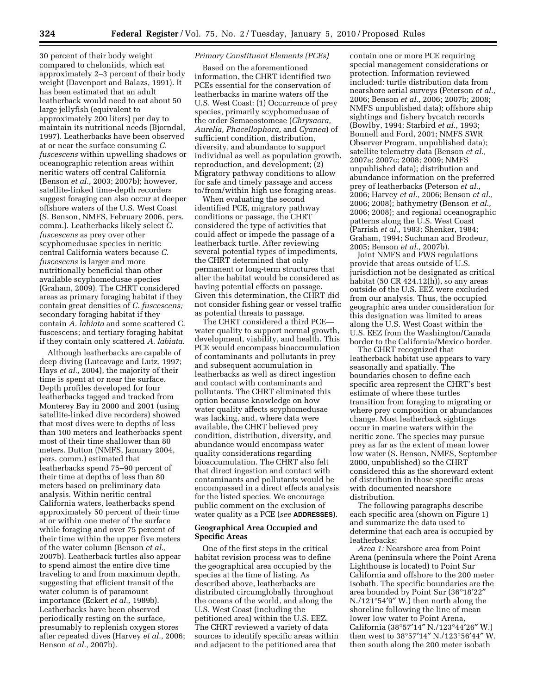30 percent of their body weight compared to cheloniids, which eat approximately 2–3 percent of their body weight (Davenport and Balazs, 1991). It has been estimated that an adult leatherback would need to eat about 50 large jellyfish (equivalent to approximately 200 liters) per day to maintain its nutritional needs (Bjorndal, 1997). Leatherbacks have been observed at or near the surface consuming *C. fuscescens* within upwelling shadows or oceanographic retention areas within neritic waters off central California (Benson *et al.,* 2003; 2007b); however, satellite-linked time-depth recorders suggest foraging can also occur at deeper offshore waters of the U.S. West Coast (S. Benson, NMFS, February 2006, pers. comm.). Leatherbacks likely select *C. fuscescens* as prey over other scyphomedusae species in neritic central California waters because *C. fuscescens* is larger and more nutritionally beneficial than other available scyphomedusae species (Graham, 2009). The CHRT considered areas as primary foraging habitat if they contain great densities of *C. fuscescens;*  secondary foraging habitat if they contain *A. labiata* and some scattered C. fuscescens; and tertiary foraging habitat if they contain only scattered *A. labiata.* 

Although leatherbacks are capable of deep diving (Lutcavage and Lutz, 1997; Hays *et al.,* 2004), the majority of their time is spent at or near the surface. Depth profiles developed for four leatherbacks tagged and tracked from Monterey Bay in 2000 and 2001 (using satellite-linked dive recorders) showed that most dives were to depths of less than 100 meters and leatherbacks spent most of their time shallower than 80 meters. Dutton (NMFS, January 2004, pers. comm.) estimated that leatherbacks spend 75–90 percent of their time at depths of less than 80 meters based on preliminary data analysis. Within neritic central California waters, leatherbacks spend approximately 50 percent of their time at or within one meter of the surface while foraging and over 75 percent of their time within the upper five meters of the water column (Benson *et al.,*  2007b). Leatherback turtles also appear to spend almost the entire dive time traveling to and from maximum depth, suggesting that efficient transit of the water column is of paramount importance (Eckert *et al.,* 1989b). Leatherbacks have been observed periodically resting on the surface, presumably to replenish oxygen stores after repeated dives (Harvey *et al.,* 2006; Benson *et al.,* 2007b).

## *Primary Constituent Elements (PCEs)*

Based on the aforementioned information, the CHRT identified two PCEs essential for the conservation of leatherbacks in marine waters off the U.S. West Coast: (1) Occurrence of prey species, primarily scyphomedusae of the order Semaeostomeae (*Chrysaora, Aurelia, Phacellophora,* and *Cyanea*) of sufficient condition, distribution, diversity, and abundance to support individual as well as population growth, reproduction, and development; (2) Migratory pathway conditions to allow for safe and timely passage and access to/from/within high use foraging areas.

When evaluating the second identified PCE, migratory pathway conditions or passage, the CHRT considered the type of activities that could affect or impede the passage of a leatherback turtle. After reviewing several potential types of impediments, the CHRT determined that only permanent or long-term structures that alter the habitat would be considered as having potential effects on passage. Given this determination, the CHRT did not consider fishing gear or vessel traffic as potential threats to passage.

The CHRT considered a third PCE water quality to support normal growth, development, viability, and health. This PCE would encompass bioaccumulation of contaminants and pollutants in prey and subsequent accumulation in leatherbacks as well as direct ingestion and contact with contaminants and pollutants. The CHRT eliminated this option because knowledge on how water quality affects scyphomedusae was lacking, and, where data were available, the CHRT believed prey condition, distribution, diversity, and abundance would encompass water quality considerations regarding bioaccumulation. The CHRT also felt that direct ingestion and contact with contaminants and pollutants would be encompassed in a direct effects analysis for the listed species. We encourage public comment on the exclusion of water quality as a PCE (*see* **ADDRESSES**).

## **Geographical Area Occupied and Specific Areas**

One of the first steps in the critical habitat revision process was to define the geographical area occupied by the species at the time of listing. As described above, leatherbacks are distributed circumglobally throughout the oceans of the world, and along the U.S. West Coast (including the petitioned area) within the U.S. EEZ. The CHRT reviewed a variety of data sources to identify specific areas within and adjacent to the petitioned area that

contain one or more PCE requiring special management considerations or protection. Information reviewed included: turtle distribution data from nearshore aerial surveys (Peterson *et al.,*  2006; Benson *et al.,* 2006; 2007b; 2008; NMFS unpublished data); offshore ship sightings and fishery bycatch records (Bowlby, 1994; Starbird *et al.,* 1993; Bonnell and Ford, 2001; NMFS SWR Observer Program, unpublished data); satellite telemetry data (Benson *et al.,*  2007a; 2007c; 2008; 2009; NMFS unpublished data); distribution and abundance information on the preferred prey of leatherbacks (Peterson *et al.,*  2006; Harvey *et al.,* 2006; Benson *et al.,*  2006; 2008); bathymetry (Benson *et al.,*  2006; 2008); and regional oceanographic patterns along the U.S. West Coast (Parrish *et al.,* 1983; Shenker, 1984; Graham, 1994; Suchman and Brodeur, 2005; Benson *et al.,* 2007b).

Joint NMFS and FWS regulations provide that areas outside of U.S. jurisdiction not be designated as critical habitat (50 CR 424.12(h)), so any areas outside of the U.S. EEZ were excluded from our analysis. Thus, the occupied geographic area under consideration for this designation was limited to areas along the U.S. West Coast within the U.S. EEZ from the Washington/Canada border to the California/Mexico border.

The CHRT recognized that leatherback habitat use appears to vary seasonally and spatially. The boundaries chosen to define each specific area represent the CHRT's best estimate of where these turtles transition from foraging to migrating or where prey composition or abundances change. Most leatherback sightings occur in marine waters within the neritic zone. The species may pursue prey as far as the extent of mean lower low water (S. Benson, NMFS, September 2000, unpublished) so the CHRT considered this as the shoreward extent of distribution in those specific areas with documented nearshore distribution.

The following paragraphs describe each specific area (shown on Figure 1) and summarize the data used to determine that each area is occupied by leatherbacks:

*Area 1:* Nearshore area from Point Arena (peninsula where the Point Arena Lighthouse is located) to Point Sur California and offshore to the 200 meter isobath. The specific boundaries are the area bounded by Point Sur (36°18′22″ N./121°54′9″ W.) then north along the shoreline following the line of mean lower low water to Point Arena, California (38°57′14″ N./123°44′26″ W.) then west to 38°57′14″ N./123°56′44″ W. then south along the 200 meter isobath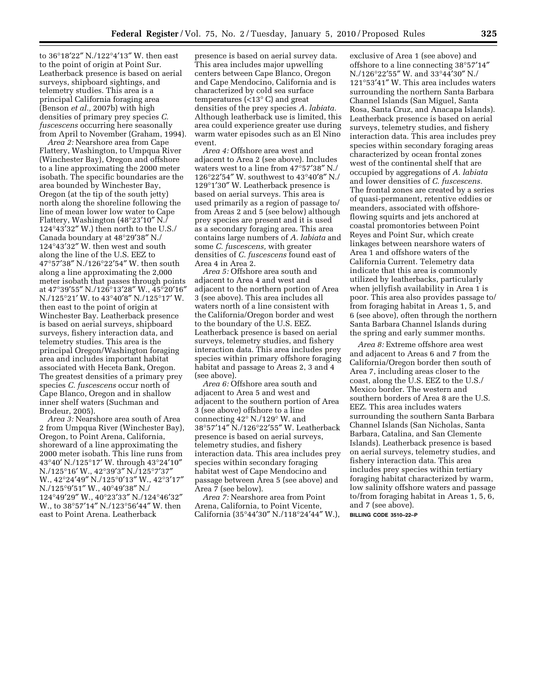to 36°18′22″ N./122°4′13″ W. then east to the point of origin at Point Sur. Leatherback presence is based on aerial surveys, shipboard sightings, and telemetry studies. This area is a principal California foraging area (Benson *et al.,* 2007b) with high densities of primary prey species *C. fuscescens* occurring here seasonally from April to November (Graham, 1994).

*Area 2:* Nearshore area from Cape Flattery, Washington, to Umpqua River (Winchester Bay), Oregon and offshore to a line approximating the 2000 meter isobath. The specific boundaries are the area bounded by Winchester Bay, Oregon (at the tip of the south jetty) north along the shoreline following the line of mean lower low water to Cape Flattery, Washington (48°23′10″ N./ 124°43′32″ W.) then north to the U.S./ Canada boundary at 48°29′38″ N./ 124°43′32″ W. then west and south along the line of the U.S. EEZ to 47°57′38″ N./126°22′54″ W. then south along a line approximating the 2,000 meter isobath that passes through points at 47°39′55″ N./126°13′28″ W., 45°20′16″ N./125°21′ W. to 43°40′8″ N./125°17′ W. then east to the point of origin at Winchester Bay. Leatherback presence is based on aerial surveys, shipboard surveys, fishery interaction data, and telemetry studies. This area is the principal Oregon/Washington foraging area and includes important habitat associated with Heceta Bank, Oregon. The greatest densities of a primary prey species *C. fuscescens* occur north of Cape Blanco, Oregon and in shallow inner shelf waters (Suchman and Brodeur, 2005).

*Area 3:* Nearshore area south of Area 2 from Umpqua River (Winchester Bay), Oregon, to Point Arena, California, shoreward of a line approximating the 2000 meter isobath. This line runs from 43°40′ N./125°17′ W. through 43°24′10″ N./125°16′ W., 42°39′3″ N./125°7′37″ W., 42°24′49″ N./125°0′13″ W., 42°3′17″ N./125°9′51″ W., 40°49′38″ N./ 124°49′29″ W., 40°23′33″ N./124°46′32″ W., to 38°57′14″ N./123°56′44″ W. then east to Point Arena. Leatherback

presence is based on aerial survey data. This area includes major upwelling centers between Cape Blanco, Oregon and Cape Mendocino, California and is characterized by cold sea surface temperatures (<13° C) and great densities of the prey species *A. labiata.*  Although leatherback use is limited, this area could experience greater use during warm water episodes such as an El Nino event.

*Area 4:* Offshore area west and adjacent to Area 2 (see above). Includes waters west to a line from 47°57′38″ N./  $126^{\circ}22^{\prime}54^{\prime\prime}$  W. southwest to  $43^{\circ}40^{\prime}8^{\prime\prime}$  N./ 129°1′30″ W. Leatherback presence is based on aerial surveys. This area is used primarily as a region of passage to/ from Areas 2 and 5 (see below) although prey species are present and it is used as a secondary foraging area. This area contains large numbers of *A. labiata* and some *C. fuscescens,* with greater densities of *C. fuscescens* found east of Area 4 in Area 2.

*Area 5:* Offshore area south and adjacent to Area 4 and west and adjacent to the northern portion of Area 3 (see above). This area includes all waters north of a line consistent with the California/Oregon border and west to the boundary of the U.S. EEZ. Leatherback presence is based on aerial surveys, telemetry studies, and fishery interaction data. This area includes prey species within primary offshore foraging habitat and passage to Areas 2, 3 and 4 (see above).

*Area 6:* Offshore area south and adjacent to Area 5 and west and adjacent to the southern portion of Area 3 (see above) offshore to a line connecting 42° N./129° W. and 38°57′14″ N./126°22′55″ W. Leatherback presence is based on aerial surveys, telemetry studies, and fishery interaction data. This area includes prey species within secondary foraging habitat west of Cape Mendocino and passage between Area 5 (see above) and Area 7 (see below).

*Area 7:* Nearshore area from Point Arena, California, to Point Vicente, California (35°44′30″ N./118°24′44″ W.),

exclusive of Area 1 (see above) and offshore to a line connecting 38°57′14″ N./126°22′55″ W. and 33°44′30″ N./ 121°53′41″ W. This area includes waters surrounding the northern Santa Barbara Channel Islands (San Miguel, Santa Rosa, Santa Cruz, and Anacapa Islands). Leatherback presence is based on aerial surveys, telemetry studies, and fishery interaction data. This area includes prey species within secondary foraging areas characterized by ocean frontal zones west of the continental shelf that are occupied by aggregations of *A. labiata*  and lower densities of *C. fuscescens.*  The frontal zones are created by a series of quasi-permanent, retentive eddies or meanders, associated with offshoreflowing squirts and jets anchored at coastal promontories between Point Reyes and Point Sur, which create linkages between nearshore waters of Area 1 and offshore waters of the California Current. Telemetry data indicate that this area is commonly utilized by leatherbacks, particularly when jellyfish availability in Area 1 is poor. This area also provides passage to/ from foraging habitat in Areas 1, 5, and 6 (see above), often through the northern Santa Barbara Channel Islands during the spring and early summer months.

*Area 8:* Extreme offshore area west and adjacent to Areas 6 and 7 from the California/Oregon border then south of Area 7, including areas closer to the coast, along the U.S. EEZ to the U.S./ Mexico border. The western and southern borders of Area 8 are the U.S. EEZ. This area includes waters surrounding the southern Santa Barbara Channel Islands (San Nicholas, Santa Barbara, Catalina, and San Clemente Islands). Leatherback presence is based on aerial surveys, telemetry studies, and fishery interaction data. This area includes prey species within tertiary foraging habitat characterized by warm, low salinity offshore waters and passage to/from foraging habitat in Areas 1, 5, 6, and 7 (see above). **BILLING CODE 3510–22–P**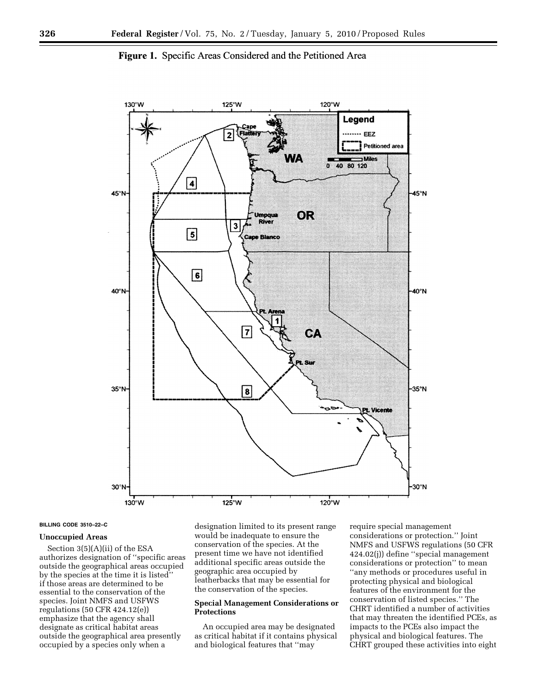

**Figure 1.** Specific Areas Considered and the Petitioned Area

#### **BILLING CODE 3510–22–C**

## **Unoccupied Areas**

Section 3(5)(A)(ii) of the ESA authorizes designation of ''specific areas outside the geographical areas occupied by the species at the time it is listed'' if those areas are determined to be essential to the conservation of the species. Joint NMFS and USFWS regulations (50 CFR 424.12(e)) emphasize that the agency shall designate as critical habitat areas outside the geographical area presently occupied by a species only when a

designation limited to its present range would be inadequate to ensure the conservation of the species. At the present time we have not identified additional specific areas outside the geographic area occupied by leatherbacks that may be essential for the conservation of the species.

## **Special Management Considerations or Protections**

An occupied area may be designated as critical habitat if it contains physical and biological features that ''may

require special management considerations or protection.'' Joint NMFS and USFWS regulations (50 CFR 424.02(j)) define ''special management considerations or protection'' to mean ''any methods or procedures useful in protecting physical and biological features of the environment for the conservation of listed species.'' The CHRT identified a number of activities that may threaten the identified PCEs, as impacts to the PCEs also impact the physical and biological features. The CHRT grouped these activities into eight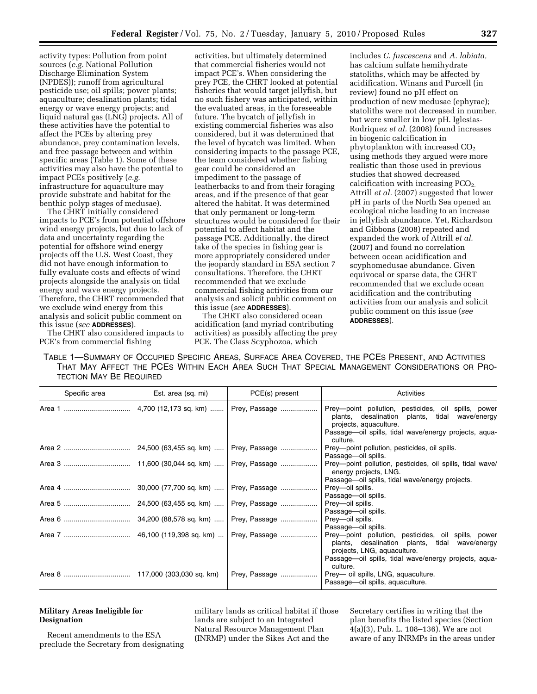activity types: Pollution from point sources (*e.g.* National Pollution Discharge Elimination System (NPDES)); runoff from agricultural pesticide use; oil spills; power plants; aquaculture; desalination plants; tidal energy or wave energy projects; and liquid natural gas (LNG) projects. All of these activities have the potential to affect the PCEs by altering prey abundance, prey contamination levels, and free passage between and within specific areas (Table 1). Some of these activities may also have the potential to impact PCEs positively (*e.g.*  infrastructure for aquaculture may provide substrate and habitat for the benthic polyp stages of medusae).

The CHRT initially considered impacts to PCE's from potential offshore wind energy projects, but due to lack of data and uncertainty regarding the potential for offshore wind energy projects off the U.S. West Coast, they did not have enough information to fully evaluate costs and effects of wind projects alongside the analysis on tidal energy and wave energy projects. Therefore, the CHRT recommended that we exclude wind energy from this analysis and solicit public comment on this issue (*see* **ADDRESSES**).

The CHRT also considered impacts to PCE's from commercial fishing

activities, but ultimately determined that commercial fisheries would not impact PCE's. When considering the prey PCE, the CHRT looked at potential fisheries that would target jellyfish, but no such fishery was anticipated, within the evaluated areas, in the foreseeable future. The bycatch of jellyfish in existing commercial fisheries was also considered, but it was determined that the level of bycatch was limited. When considering impacts to the passage PCE, the team considered whether fishing gear could be considered an impediment to the passage of leatherbacks to and from their foraging areas, and if the presence of that gear altered the habitat. It was determined that only permanent or long-term structures would be considered for their potential to affect habitat and the passage PCE. Additionally, the direct take of the species in fishing gear is more appropriately considered under the jeopardy standard in ESA section 7 consultations. Therefore, the CHRT recommended that we exclude commercial fishing activities from our analysis and solicit public comment on this issue (*see* **ADDRESSES**).

The CHRT also considered ocean acidification (and myriad contributing activities) as possibly affecting the prey PCE. The Class Scyphozoa, which

includes *C. fuscescens* and *A. labiata,*  has calcium sulfate hemihydrate statoliths, which may be affected by acidification. Winans and Purcell (in review) found no pH effect on production of new medusae (ephyrae); statoliths were not decreased in number, but were smaller in low pH. Iglesias-Rodriquez *et al.* (2008) found increases in biogenic calcification in phytoplankton with increased  $CO<sub>2</sub>$ using methods they argued were more realistic than those used in previous studies that showed decreased calcification with increasing  $PCO<sub>2</sub>$ . Attrill *et al.* (2007) suggested that lower pH in parts of the North Sea opened an ecological niche leading to an increase in jellyfish abundance. Yet, Richardson and Gibbons (2008) repeated and expanded the work of Attrill *et al.*  (2007) and found no correlation between ocean acidification and scyphomedusae abundance. Given equivocal or sparse data, the CHRT recommended that we exclude ocean acidification and the contributing activities from our analysis and solicit public comment on this issue (*see*  **ADDRESSES**).

TABLE 1—SUMMARY OF OCCUPIED SPECIFIC AREAS, SURFACE AREA COVERED, THE PCES PRESENT, AND ACTIVITIES THAT MAY AFFECT THE PCES WITHIN EACH AREA SUCH THAT SPECIAL MANAGEMENT CONSIDERATIONS OR PRO-TECTION MAY BE REQUIRED

| Specific area | Est. area (sq. mi)       | PCE(s) present                          | Activities                                                                                                                           |  |
|---------------|--------------------------|-----------------------------------------|--------------------------------------------------------------------------------------------------------------------------------------|--|
|               |                          | 4,700 (12,173 sq. km)    Prey, Passage  | Prey-point pollution, pesticides, oil spills, power<br>plants, desalination plants, tidal wave/energy<br>projects, aquaculture.      |  |
|               |                          |                                         | Passage—oil spills, tidal wave/energy projects, aqua-<br>culture.                                                                    |  |
|               |                          |                                         | Prey-point pollution, pesticides, oil spills.<br>Passage-oil spills.                                                                 |  |
|               |                          |                                         | Prey-point pollution, pesticides, oil spills, tidal wave/<br>energy projects, LNG.                                                   |  |
|               |                          |                                         | Passage—oil spills, tidal wave/energy projects.                                                                                      |  |
|               |                          | 30,000 (77,700 sq. km)    Prey, Passage | Prey-oil spills.<br>Passage-oil spills.                                                                                              |  |
|               |                          | 24,500 (63,455 sq. km)    Prey, Passage | Prey-oil spills.                                                                                                                     |  |
|               |                          |                                         | Passage-oil spills.                                                                                                                  |  |
|               |                          | 34,200 (88,578 sq. km)    Prey, Passage | Prey-oil spills.                                                                                                                     |  |
|               |                          |                                         | Passage-oil spills.                                                                                                                  |  |
|               |                          |                                         | Prey-point pollution, pesticides, oil spills, power<br>plants, desalination plants, tidal wave/energy<br>projects, LNG, aquaculture. |  |
|               |                          |                                         | Passage—oil spills, tidal wave/energy projects, aqua-<br>culture.                                                                    |  |
|               | 117,000 (303,030 sq. km) | Prey, Passage                           | Prey— oil spills, LNG, aguaculture.                                                                                                  |  |
|               |                          |                                         | Passage-oil spills, aquaculture.                                                                                                     |  |

# **Military Areas Ineligible for Designation**

Recent amendments to the ESA preclude the Secretary from designating military lands as critical habitat if those lands are subject to an Integrated Natural Resource Management Plan (INRMP) under the Sikes Act and the

Secretary certifies in writing that the plan benefits the listed species (Section 4(a)(3), Pub. L. 108–136). We are not aware of any INRMPs in the areas under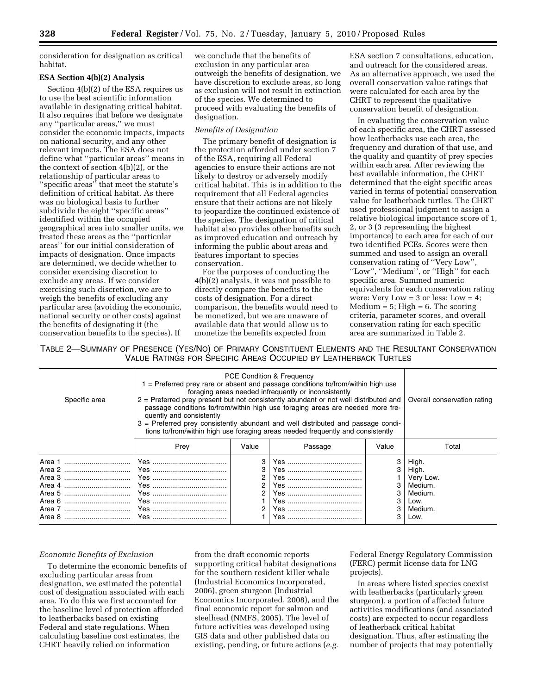consideration for designation as critical habitat.

## **ESA Section 4(b)(2) Analysis**

Section 4(b)(2) of the ESA requires us to use the best scientific information available in designating critical habitat. It also requires that before we designate any ''particular areas,'' we must consider the economic impacts, impacts on national security, and any other relevant impacts. The ESA does not define what ''particular areas'' means in the context of section 4(b)(2), or the relationship of particular areas to ''specific areas'' that meet the statute's definition of critical habitat. As there was no biological basis to further subdivide the eight ''specific areas'' identified within the occupied geographical area into smaller units, we treated these areas as the ''particular areas'' for our initial consideration of impacts of designation. Once impacts are determined, we decide whether to consider exercising discretion to exclude any areas. If we consider exercising such discretion, we are to weigh the benefits of excluding any particular area (avoiding the economic, national security or other costs) against the benefits of designating it (the conservation benefits to the species). If

we conclude that the benefits of exclusion in any particular area outweigh the benefits of designation, we have discretion to exclude areas, so long as exclusion will not result in extinction of the species. We determined to proceed with evaluating the benefits of designation.

## *Benefits of Designation*

The primary benefit of designation is the protection afforded under section 7 of the ESA, requiring all Federal agencies to ensure their actions are not likely to destroy or adversely modify critical habitat. This is in addition to the requirement that all Federal agencies ensure that their actions are not likely to jeopardize the continued existence of the species. The designation of critical habitat also provides other benefits such as improved education and outreach by informing the public about areas and features important to species conservation.

For the purposes of conducting the 4(b)(2) analysis, it was not possible to directly compare the benefits to the costs of designation. For a direct comparison, the benefits would need to be monetized, but we are unaware of available data that would allow us to monetize the benefits expected from

ESA section 7 consultations, education, and outreach for the considered areas. As an alternative approach, we used the overall conservation value ratings that were calculated for each area by the CHRT to represent the qualitative conservation benefit of designation.

In evaluating the conservation value of each specific area, the CHRT assessed how leatherbacks use each area, the frequency and duration of that use, and the quality and quantity of prey species within each area. After reviewing the best available information, the CHRT determined that the eight specific areas varied in terms of potential conservation value for leatherback turtles. The CHRT used professional judgment to assign a relative biological importance score of 1, 2, or 3 (3 representing the highest importance) to each area for each of our two identified PCEs. Scores were then summed and used to assign an overall conservation rating of ''Very Low'', ''Low'', ''Medium'', or ''High'' for each specific area. Summed numeric equivalents for each conservation rating were: Very Low  $= 3$  or less; Low  $= 4$ ;  $Median = 5; High = 6. The scoring$ criteria, parameter scores, and overall conservation rating for each specific area are summarized in Table 2.

TABLE 2—SUMMARY OF PRESENCE (YES/NO) OF PRIMARY CONSTITUENT ELEMENTS AND THE RESULTANT CONSERVATION VALUE RATINGS FOR SPECIFIC AREAS OCCUPIED BY LEATHERBACK TURTLES

| Specific area | PCE Condition & Frequency<br>$1$ = Preferred prey rare or absent and passage conditions to/from/within high use<br>foraging areas needed infrequently or inconsistently<br>2 = Preferred prey present but not consistently abundant or not well distributed and<br>passage conditions to/from/within high use foraging areas are needed more fre-<br>quently and consistently<br>3 = Preferred prey consistently abundant and well distributed and passage condi-<br>tions to/from/within high use foraging areas needed frequently and consistently |                       |         |       | Overall conservation rating                                                  |
|---------------|------------------------------------------------------------------------------------------------------------------------------------------------------------------------------------------------------------------------------------------------------------------------------------------------------------------------------------------------------------------------------------------------------------------------------------------------------------------------------------------------------------------------------------------------------|-----------------------|---------|-------|------------------------------------------------------------------------------|
|               | Prev                                                                                                                                                                                                                                                                                                                                                                                                                                                                                                                                                 | Value                 | Passage | Value | Total                                                                        |
|               |                                                                                                                                                                                                                                                                                                                                                                                                                                                                                                                                                      | 3<br>3<br>2<br>2<br>2 | Yes.    |       | High.<br>High.<br>Very Low.<br>Medium.<br>Medium.<br>Low.<br>Medium.<br>Low. |

### *Economic Benefits of Exclusion*

To determine the economic benefits of excluding particular areas from designation, we estimated the potential cost of designation associated with each area. To do this we first accounted for the baseline level of protection afforded to leatherbacks based on existing Federal and state regulations. When calculating baseline cost estimates, the CHRT heavily relied on information

from the draft economic reports supporting critical habitat designations for the southern resident killer whale (Industrial Economics Incorporated, 2006), green sturgeon (Industrial Economics Incorporated, 2008), and the final economic report for salmon and steelhead (NMFS, 2005). The level of future activities was developed using GIS data and other published data on existing, pending, or future actions (*e.g.* 

Federal Energy Regulatory Commission (FERC) permit license data for LNG projects).

In areas where listed species coexist with leatherbacks (particularly green sturgeon), a portion of affected future activities modifications (and associated costs) are expected to occur regardless of leatherback critical habitat designation. Thus, after estimating the number of projects that may potentially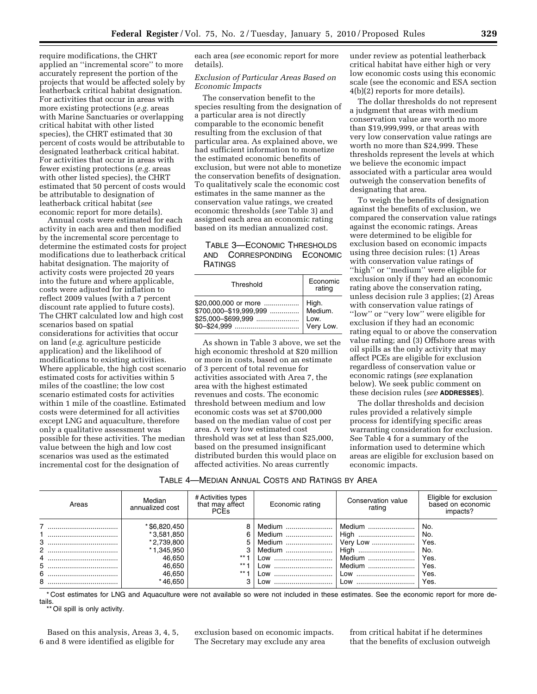require modifications, the CHRT applied an ''incremental score'' to more accurately represent the portion of the projects that would be affected solely by leatherback critical habitat designation. For activities that occur in areas with more existing protections (*e.g.* areas with Marine Sanctuaries or overlapping critical habitat with other listed species), the CHRT estimated that 30 percent of costs would be attributable to designated leatherback critical habitat. For activities that occur in areas with fewer existing protections (*e.g.* areas with other listed species), the CHRT estimated that 50 percent of costs would be attributable to designation of leatherback critical habitat (*see*  economic report for more details).

Annual costs were estimated for each activity in each area and then modified by the incremental score percentage to determine the estimated costs for project modifications due to leatherback critical habitat designation. The majority of activity costs were projected 20 years into the future and where applicable, costs were adjusted for inflation to reflect 2009 values (with a 7 percent discount rate applied to future costs). The CHRT calculated low and high cost scenarios based on spatial considerations for activities that occur on land (*e.g.* agriculture pesticide application) and the likelihood of modifications to existing activities. Where applicable, the high cost scenario estimated costs for activities within 5 miles of the coastline; the low cost scenario estimated costs for activities within 1 mile of the coastline. Estimated costs were determined for all activities except LNG and aquaculture, therefore only a qualitative assessment was possible for these activities. The median value between the high and low cost scenarios was used as the estimated incremental cost for the designation of

each area (*see* economic report for more details).

## *Exclusion of Particular Areas Based on Economic Impacts*

The conservation benefit to the species resulting from the designation of a particular area is not directly comparable to the economic benefit resulting from the exclusion of that particular area. As explained above, we had sufficient information to monetize the estimated economic benefits of exclusion, but were not able to monetize the conservation benefits of designation. To qualitatively scale the economic cost estimates in the same manner as the conservation value ratings, we created economic thresholds (*see* Table 3) and assigned each area an economic rating based on its median annualized cost.

# TABLE 3—ECONOMIC THRESHOLDS AND CORRESPONDING ECONOMIC **RATINGS**

| Threshold                                                              | Economic<br>rating                    |  |
|------------------------------------------------------------------------|---------------------------------------|--|
| \$20,000,000 or more<br>\$700,000-\$19,999,999<br>$$25.000 - $699.999$ | High.<br>Medium.<br>Low.<br>Very Low. |  |

As shown in Table 3 above, we set the high economic threshold at \$20 million or more in costs, based on an estimate of 3 percent of total revenue for activities associated with Area 7, the area with the highest estimated revenues and costs. The economic threshold between medium and low economic costs was set at \$700,000 based on the median value of cost per area. A very low estimated cost threshold was set at less than \$25,000, based on the presumed insignificant distributed burden this would place on affected activities. No areas currently

under review as potential leatherback critical habitat have either high or very low economic costs using this economic scale (see the economic and ESA section 4(b)(2) reports for more details).

The dollar thresholds do not represent a judgment that areas with medium conservation value are worth no more than \$19,999,999, or that areas with very low conservation value ratings are worth no more than \$24,999. These thresholds represent the levels at which we believe the economic impact associated with a particular area would outweigh the conservation benefits of designating that area.

To weigh the benefits of designation against the benefits of exclusion, we compared the conservation value ratings against the economic ratings. Areas were determined to be eligible for exclusion based on economic impacts using three decision rules: (1) Areas with conservation value ratings of ''high'' or ''medium'' were eligible for exclusion only if they had an economic rating above the conservation rating, unless decision rule 3 applies; (2) Areas with conservation value ratings of ''low'' or ''very low'' were eligible for exclusion if they had an economic rating equal to or above the conservation value rating; and (3) Offshore areas with oil spills as the only activity that may affect PCEs are eligible for exclusion regardless of conservation value or economic ratings (*see* explanation below). We seek public comment on these decision rules (*see* **ADDRESSES**).

The dollar thresholds and decision rules provided a relatively simple process for identifying specific areas warranting consideration for exclusion. See Table 4 for a summary of the information used to determine which areas are eligible for exclusion based on economic impacts.

| Table 4—Median Annual Costs and Ratings by Area |
|-------------------------------------------------|
|-------------------------------------------------|

| Areas | Median<br>annualized cost | # Activities types<br>that may affect<br><b>PCEs</b> | Economic rating | Conservation value<br>rating | Eligible for exclusion<br>based on economic<br>impacts? |
|-------|---------------------------|------------------------------------------------------|-----------------|------------------------------|---------------------------------------------------------|
|       | * \$6,820,450             | 8                                                    | Medium          | Medium                       | No.                                                     |
|       | *3,581,850                | 6                                                    | Medium          | High                         | No.                                                     |
| 3<br> | *2,739,800                |                                                      | Medium          | Very Low                     | Yes.                                                    |
| 2<br> | * 1,345,950               | C                                                    | Medium          | High                         | No.                                                     |
|       | 46,650                    | $***$ .                                              | Low             | Medium                       | Yes.                                                    |
| 5     | 46,650                    | $***$ .                                              | Low             | Medium                       | Yes.                                                    |
| 6     | 46,650                    | $***$ .                                              | Low             | Low                          | Yes.                                                    |
| 8     | * 46,650                  | C                                                    | Low<br>         | Low<br>                      | Yes.                                                    |

\* Cost estimates for LNG and Aquaculture were not available so were not included in these estimates. See the economic report for more details.

Oil spill is only activity.

Based on this analysis, Areas 3, 4, 5, 6 and 8 were identified as eligible for

exclusion based on economic impacts. The Secretary may exclude any area

from critical habitat if he determines that the benefits of exclusion outweigh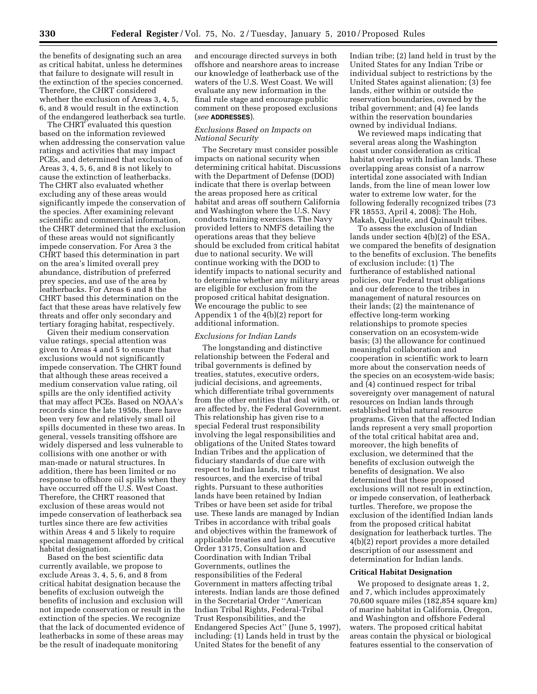the benefits of designating such an area as critical habitat, unless he determines that failure to designate will result in the extinction of the species concerned. Therefore, the CHRT considered whether the exclusion of Areas 3, 4, 5, 6, and 8 would result in the extinction of the endangered leatherback sea turtle.

The CHRT evaluated this question based on the information reviewed when addressing the conservation value ratings and activities that may impact PCEs, and determined that exclusion of Areas 3, 4, 5, 6, and 8 is not likely to cause the extinction of leatherbacks. The CHRT also evaluated whether excluding any of these areas would significantly impede the conservation of the species. After examining relevant scientific and commercial information, the CHRT determined that the exclusion of these areas would not significantly impede conservation. For Area 3 the CHRT based this determination in part on the area's limited overall prey abundance, distribution of preferred prey species, and use of the area by leatherbacks. For Areas 6 and 8 the CHRT based this determination on the fact that these areas have relatively few threats and offer only secondary and tertiary foraging habitat, respectively.

Given their medium conservation value ratings, special attention was given to Areas 4 and 5 to ensure that exclusions would not significantly impede conservation. The CHRT found that although these areas received a medium conservation value rating, oil spills are the only identified activity that may affect PCEs. Based on NOAA's records since the late 1950s, there have been very few and relatively small oil spills documented in these two areas. In general, vessels transiting offshore are widely dispersed and less vulnerable to collisions with one another or with man-made or natural structures. In addition, there has been limited or no response to offshore oil spills when they have occurred off the U.S. West Coast. Therefore, the CHRT reasoned that exclusion of these areas would not impede conservation of leatherback sea turtles since there are few activities within Areas 4 and 5 likely to require special management afforded by critical habitat designation.

Based on the best scientific data currently available, we propose to exclude Areas 3, 4, 5, 6, and 8 from critical habitat designation because the benefits of exclusion outweigh the benefits of inclusion and exclusion will not impede conservation or result in the extinction of the species. We recognize that the lack of documented evidence of leatherbacks in some of these areas may be the result of inadequate monitoring

and encourage directed surveys in both offshore and nearshore areas to increase our knowledge of leatherback use of the waters of the U.S. West Coast. We will evaluate any new information in the final rule stage and encourage public comment on these proposed exclusions (*see* **ADDRESSES**).

## *Exclusions Based on Impacts on National Security*

The Secretary must consider possible impacts on national security when determining critical habitat. Discussions with the Department of Defense (DOD) indicate that there is overlap between the areas proposed here as critical habitat and areas off southern California and Washington where the U.S. Navy conducts training exercises. The Navy provided letters to NMFS detailing the operations areas that they believe should be excluded from critical habitat due to national security. We will continue working with the DOD to identify impacts to national security and to determine whether any military areas are eligible for exclusion from the proposed critical habitat designation. We encourage the public to see Appendix 1 of the 4(b)(2) report for additional information.

### *Exclusions for Indian Lands*

The longstanding and distinctive relationship between the Federal and tribal governments is defined by treaties, statutes, executive orders, judicial decisions, and agreements, which differentiate tribal governments from the other entities that deal with, or are affected by, the Federal Government. This relationship has given rise to a special Federal trust responsibility involving the legal responsibilities and obligations of the United States toward Indian Tribes and the application of fiduciary standards of due care with respect to Indian lands, tribal trust resources, and the exercise of tribal rights. Pursuant to these authorities lands have been retained by Indian Tribes or have been set aside for tribal use. These lands are managed by Indian Tribes in accordance with tribal goals and objectives within the framework of applicable treaties and laws. Executive Order 13175, Consultation and Coordination with Indian Tribal Governments, outlines the responsibilities of the Federal Government in matters affecting tribal interests. Indian lands are those defined in the Secretarial Order ''American Indian Tribal Rights, Federal-Tribal Trust Responsibilities, and the Endangered Species Act'' (June 5, 1997), including: (1) Lands held in trust by the United States for the benefit of any

Indian tribe; (2) land held in trust by the United States for any Indian Tribe or individual subject to restrictions by the United States against alienation; (3) fee lands, either within or outside the reservation boundaries, owned by the tribal government; and (4) fee lands within the reservation boundaries owned by individual Indians.

We reviewed maps indicating that several areas along the Washington coast under consideration as critical habitat overlap with Indian lands. These overlapping areas consist of a narrow intertidal zone associated with Indian lands, from the line of mean lower low water to extreme low water, for the following federally recognized tribes (73 FR 18553, April 4, 2008): The Hoh, Makah, Quileute, and Quinault tribes.

To assess the exclusion of Indian lands under section 4(b)(2) of the ESA, we compared the benefits of designation to the benefits of exclusion. The benefits of exclusion include: (1) The furtherance of established national policies, our Federal trust obligations and our deference to the tribes in management of natural resources on their lands; (2) the maintenance of effective long-term working relationships to promote species conservation on an ecosystem-wide basis; (3) the allowance for continued meaningful collaboration and cooperation in scientific work to learn more about the conservation needs of the species on an ecosystem-wide basis; and (4) continued respect for tribal sovereignty over management of natural resources on Indian lands through established tribal natural resource programs. Given that the affected Indian lands represent a very small proportion of the total critical habitat area and, moreover, the high benefits of exclusion, we determined that the benefits of exclusion outweigh the benefits of designation. We also determined that these proposed exclusions will not result in extinction, or impede conservation, of leatherback turtles. Therefore, we propose the exclusion of the identified Indian lands from the proposed critical habitat designation for leatherback turtles. The 4(b)(2) report provides a more detailed description of our assessment and determination for Indian lands.

#### **Critical Habitat Designation**

We proposed to designate areas 1, 2, and 7, which includes approximately 70,600 square miles (182,854 square km) of marine habitat in California, Oregon, and Washington and offshore Federal waters. The proposed critical habitat areas contain the physical or biological features essential to the conservation of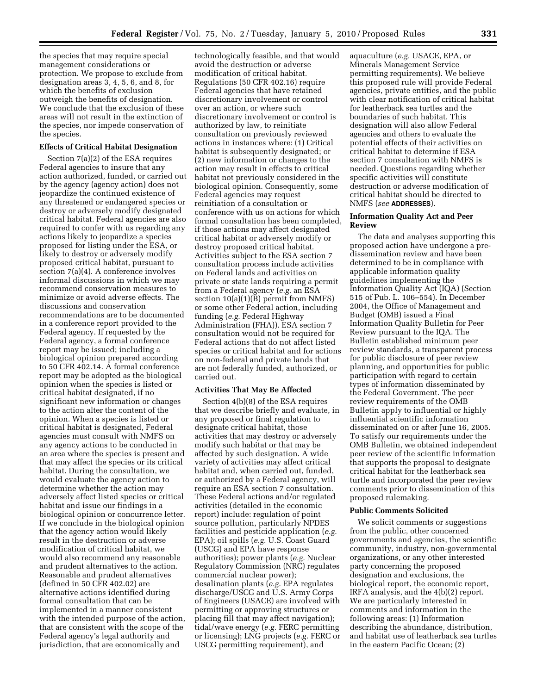the species that may require special management considerations or protection. We propose to exclude from designation areas 3, 4, 5, 6, and 8, for which the benefits of exclusion outweigh the benefits of designation. We conclude that the exclusion of these areas will not result in the extinction of the species, nor impede conservation of the species.

#### **Effects of Critical Habitat Designation**

Section 7(a)(2) of the ESA requires Federal agencies to insure that any action authorized, funded, or carried out by the agency (agency action) does not jeopardize the continued existence of any threatened or endangered species or destroy or adversely modify designated critical habitat. Federal agencies are also required to confer with us regarding any actions likely to jeopardize a species proposed for listing under the ESA, or likely to destroy or adversely modify proposed critical habitat, pursuant to section 7(a)(4). A conference involves informal discussions in which we may recommend conservation measures to minimize or avoid adverse effects. The discussions and conservation recommendations are to be documented in a conference report provided to the Federal agency. If requested by the Federal agency, a formal conference report may be issued; including a biological opinion prepared according to 50 CFR 402.14. A formal conference report may be adopted as the biological opinion when the species is listed or critical habitat designated, if no significant new information or changes to the action alter the content of the opinion. When a species is listed or critical habitat is designated, Federal agencies must consult with NMFS on any agency actions to be conducted in an area where the species is present and that may affect the species or its critical habitat. During the consultation, we would evaluate the agency action to determine whether the action may adversely affect listed species or critical habitat and issue our findings in a biological opinion or concurrence letter. If we conclude in the biological opinion that the agency action would likely result in the destruction or adverse modification of critical habitat, we would also recommend any reasonable and prudent alternatives to the action. Reasonable and prudent alternatives (defined in 50 CFR 402.02) are alternative actions identified during formal consultation that can be implemented in a manner consistent with the intended purpose of the action, that are consistent with the scope of the Federal agency's legal authority and jurisdiction, that are economically and

technologically feasible, and that would avoid the destruction or adverse modification of critical habitat. Regulations (50 CFR 402.16) require Federal agencies that have retained discretionary involvement or control over an action, or where such discretionary involvement or control is authorized by law, to reinitiate consultation on previously reviewed actions in instances where: (1) Critical habitat is subsequently designated; or (2) new information or changes to the action may result in effects to critical habitat not previously considered in the biological opinion. Consequently, some Federal agencies may request reinitiation of a consultation or conference with us on actions for which formal consultation has been completed, if those actions may affect designated critical habitat or adversely modify or destroy proposed critical habitat. Activities subject to the ESA section 7 consultation process include activities on Federal lands and activities on private or state lands requiring a permit from a Federal agency (*e.g.* an ESA section 10(a)(1)(B) permit from NMFS) or some other Federal action, including funding (*e.g.* Federal Highway Administration (FHA)). ESA section 7 consultation would not be required for Federal actions that do not affect listed species or critical habitat and for actions on non-federal and private lands that are not federally funded, authorized, or carried out.

#### **Activities That May Be Affected**

Section 4(b)(8) of the ESA requires that we describe briefly and evaluate, in any proposed or final regulation to designate critical habitat, those activities that may destroy or adversely modify such habitat or that may be affected by such designation. A wide variety of activities may affect critical habitat and, when carried out, funded, or authorized by a Federal agency, will require an ESA section 7 consultation. These Federal actions and/or regulated activities (detailed in the economic report) include: regulation of point source pollution, particularly NPDES facilities and pesticide application (*e.g.*  EPA); oil spills (*e.g.* U.S. Coast Guard (USCG) and EPA have response authorities); power plants (*e.g.* Nuclear Regulatory Commission (NRC) regulates commercial nuclear power); desalination plants (*e.g.* EPA regulates discharge/USCG and U.S. Army Corps of Engineers (USACE) are involved with permitting or approving structures or placing fill that may affect navigation); tidal/wave energy (*e.g.* FERC permitting or licensing); LNG projects (*e.g.* FERC or USCG permitting requirement), and

aquaculture (*e.g.* USACE, EPA, or Minerals Management Service permitting requirements). We believe this proposed rule will provide Federal agencies, private entities, and the public with clear notification of critical habitat for leatherback sea turtles and the boundaries of such habitat. This designation will also allow Federal agencies and others to evaluate the potential effects of their activities on critical habitat to determine if ESA section 7 consultation with NMFS is needed. Questions regarding whether specific activities will constitute destruction or adverse modification of critical habitat should be directed to NMFS (*see* **ADDRESSES**).

## **Information Quality Act and Peer Review**

The data and analyses supporting this proposed action have undergone a predissemination review and have been determined to be in compliance with applicable information quality guidelines implementing the Information Quality Act (IQA) (Section 515 of Pub. L. 106–554). In December 2004, the Office of Management and Budget (OMB) issued a Final Information Quality Bulletin for Peer Review pursuant to the IQA. The Bulletin established minimum peer review standards, a transparent process for public disclosure of peer review planning, and opportunities for public participation with regard to certain types of information disseminated by the Federal Government. The peer review requirements of the OMB Bulletin apply to influential or highly influential scientific information disseminated on or after June 16, 2005. To satisfy our requirements under the OMB Bulletin, we obtained independent peer review of the scientific information that supports the proposal to designate critical habitat for the leatherback sea turtle and incorporated the peer review comments prior to dissemination of this proposed rulemaking.

### **Public Comments Solicited**

We solicit comments or suggestions from the public, other concerned governments and agencies, the scientific community, industry, non-governmental organizations, or any other interested party concerning the proposed designation and exclusions, the biological report, the economic report, IRFA analysis, and the 4(b)(2) report. We are particularly interested in comments and information in the following areas: (1) Information describing the abundance, distribution, and habitat use of leatherback sea turtles in the eastern Pacific Ocean; (2)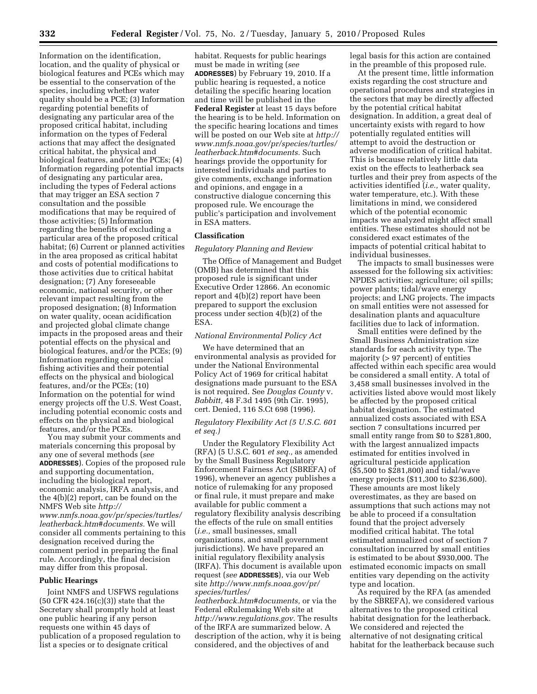Information on the identification, location, and the quality of physical or biological features and PCEs which may be essential to the conservation of the species, including whether water quality should be a PCE; (3) Information regarding potential benefits of designating any particular area of the proposed critical habitat, including information on the types of Federal actions that may affect the designated critical habitat, the physical and biological features, and/or the PCEs; (4) Information regarding potential impacts of designating any particular area, including the types of Federal actions that may trigger an ESA section 7 consultation and the possible modifications that may be required of those activities; (5) Information regarding the benefits of excluding a particular area of the proposed critical habitat; (6) Current or planned activities in the area proposed as critical habitat and costs of potential modifications to those activities due to critical habitat designation; (7) Any foreseeable economic, national security, or other relevant impact resulting from the proposed designation; (8) Information on water quality, ocean acidification and projected global climate change impacts in the proposed areas and their potential effects on the physical and biological features, and/or the PCEs; (9) Information regarding commercial fishing activities and their potential effects on the physical and biological features, and/or the PCEs; (10) Information on the potential for wind energy projects off the U.S. West Coast, including potential economic costs and effects on the physical and biological features, and/or the PCEs.

You may submit your comments and materials concerning this proposal by any one of several methods (*see*  **ADDRESSES**). Copies of the proposed rule and supporting documentation, including the biological report, economic analysis, IRFA analysis, and the 4(b)(2) report, can be found on the NMFS Web site *http:// www.nmfs.noaa.gov/pr/species/turtles/ leatherback.htm#documents.* We will consider all comments pertaining to this designation received during the comment period in preparing the final rule. Accordingly, the final decision may differ from this proposal.

## **Public Hearings**

Joint NMFS and USFWS regulations (50 CFR 424.16(c)(3)) state that the Secretary shall promptly hold at least one public hearing if any person requests one within 45 days of publication of a proposed regulation to list a species or to designate critical

habitat. Requests for public hearings must be made in writing (*see*  **ADDRESSES**) by February 19, 2010. If a public hearing is requested, a notice detailing the specific hearing location and time will be published in the **Federal Register** at least 15 days before the hearing is to be held. Information on the specific hearing locations and times will be posted on our Web site at *http:// www.nmfs.noaa.gov/pr/species/turtles/ leatherback.htm#documents.* Such hearings provide the opportunity for interested individuals and parties to give comments, exchange information and opinions, and engage in a constructive dialogue concerning this proposed rule. We encourage the public's participation and involvement in ESA matters.

### **Classification**

#### *Regulatory Planning and Review*

The Office of Management and Budget (OMB) has determined that this proposed rule is significant under Executive Order 12866. An economic report and 4(b)(2) report have been prepared to support the exclusion process under section 4(b)(2) of the ESA.

## *National Environmental Policy Act*

We have determined that an environmental analysis as provided for under the National Environmental Policy Act of 1969 for critical habitat designations made pursuant to the ESA is not required. See *Douglas County* v. *Babbitt,* 48 F.3d 1495 (9th Cir. 1995), cert. Denied, 116 S.Ct 698 (1996).

## *Regulatory Flexibility Act (5 U.S.C. 601 et seq.)*

Under the Regulatory Flexibility Act (RFA) (5 U.S.C. 601 *et seq.,* as amended by the Small Business Regulatory Enforcement Fairness Act (SBREFA) of 1996), whenever an agency publishes a notice of rulemaking for any proposed or final rule, it must prepare and make available for public comment a regulatory flexibility analysis describing the effects of the rule on small entities (*i.e.,* small businesses, small organizations, and small government jurisdictions). We have prepared an initial regulatory flexibility analysis (IRFA). This document is available upon request (*see* **ADDRESSES**), via our Web site *http://www.nmfs.noaa.gov/pr/ species/turtles/* 

*leatherback.htm#documents,* or via the Federal eRulemaking Web site at *http://www.regulations.gov.* The results of the IRFA are summarized below. A description of the action, why it is being considered, and the objectives of and

legal basis for this action are contained in the preamble of this proposed rule.

At the present time, little information exists regarding the cost structure and operational procedures and strategies in the sectors that may be directly affected by the potential critical habitat designation. In addition, a great deal of uncertainty exists with regard to how potentially regulated entities will attempt to avoid the destruction or adverse modification of critical habitat. This is because relatively little data exist on the effects to leatherback sea turtles and their prey from aspects of the activities identified (*i.e.,* water quality, water temperature, etc.). With these limitations in mind, we considered which of the potential economic impacts we analyzed might affect small entities. These estimates should not be considered exact estimates of the impacts of potential critical habitat to individual businesses.

The impacts to small businesses were assessed for the following six activities: NPDES activities; agriculture; oil spills; power plants; tidal/wave energy projects; and LNG projects. The impacts on small entities were not assessed for desalination plants and aquaculture facilities due to lack of information.

Small entities were defined by the Small Business Administration size standards for each activity type. The majority (> 97 percent) of entities affected within each specific area would be considered a small entity. A total of 3,458 small businesses involved in the activities listed above would most likely be affected by the proposed critical habitat designation. The estimated annualized costs associated with ESA section 7 consultations incurred per small entity range from \$0 to \$281,800, with the largest annualized impacts estimated for entities involved in agricultural pesticide application (\$5,500 to \$281,800) and tidal/wave energy projects (\$11,300 to \$236,600). These amounts are most likely overestimates, as they are based on assumptions that such actions may not be able to proceed if a consultation found that the project adversely modified critical habitat. The total estimated annualized cost of section 7 consultation incurred by small entities is estimated to be about \$930,000. The estimated economic impacts on small entities vary depending on the activity type and location.

As required by the RFA (as amended by the SBREFA), we considered various alternatives to the proposed critical habitat designation for the leatherback. We considered and rejected the alternative of not designating critical habitat for the leatherback because such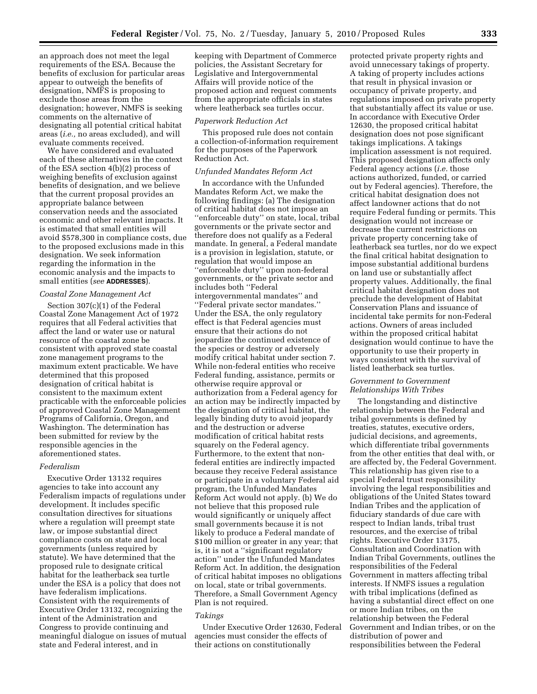an approach does not meet the legal requirements of the ESA. Because the benefits of exclusion for particular areas appear to outweigh the benefits of designation, NMFS is proposing to exclude those areas from the designation; however, NMFS is seeking comments on the alternative of designating all potential critical habitat areas (*i.e.,* no areas excluded), and will evaluate comments received.

We have considered and evaluated each of these alternatives in the context of the ESA section 4(b)(2) process of weighing benefits of exclusion against benefits of designation, and we believe that the current proposal provides an appropriate balance between conservation needs and the associated economic and other relevant impacts. It is estimated that small entities will avoid \$578,300 in compliance costs, due to the proposed exclusions made in this designation. We seek information regarding the information in the economic analysis and the impacts to small entities (*see* **ADDRESSES**).

## *Coastal Zone Management Act*

Section 307(c)(1) of the Federal Coastal Zone Management Act of 1972 requires that all Federal activities that affect the land or water use or natural resource of the coastal zone be consistent with approved state coastal zone management programs to the maximum extent practicable. We have determined that this proposed designation of critical habitat is consistent to the maximum extent practicable with the enforceable policies of approved Coastal Zone Management Programs of California, Oregon, and Washington. The determination has been submitted for review by the responsible agencies in the aforementioned states.

### *Federalism*

Executive Order 13132 requires agencies to take into account any Federalism impacts of regulations under development. It includes specific consultation directives for situations where a regulation will preempt state law, or impose substantial direct compliance costs on state and local governments (unless required by statute). We have determined that the proposed rule to designate critical habitat for the leatherback sea turtle under the ESA is a policy that does not have federalism implications. Consistent with the requirements of Executive Order 13132, recognizing the intent of the Administration and Congress to provide continuing and meaningful dialogue on issues of mutual state and Federal interest, and in

keeping with Department of Commerce policies, the Assistant Secretary for Legislative and Intergovernmental Affairs will provide notice of the proposed action and request comments from the appropriate officials in states where leatherback sea turtles occur.

## *Paperwork Reduction Act*

This proposed rule does not contain a collection-of-information requirement for the purposes of the Paperwork Reduction Act.

## *Unfunded Mandates Reform Act*

In accordance with the Unfunded Mandates Reform Act, we make the following findings: (a) The designation of critical habitat does not impose an ''enforceable duty'' on state, local, tribal governments or the private sector and therefore does not qualify as a Federal mandate. In general, a Federal mandate is a provision in legislation, statute, or regulation that would impose an ''enforceable duty'' upon non-federal governments, or the private sector and includes both ''Federal intergovernmental mandates'' and ''Federal private sector mandates.'' Under the ESA, the only regulatory effect is that Federal agencies must ensure that their actions do not jeopardize the continued existence of the species or destroy or adversely modify critical habitat under section 7. While non-federal entities who receive Federal funding, assistance, permits or otherwise require approval or authorization from a Federal agency for an action may be indirectly impacted by the designation of critical habitat, the legally binding duty to avoid jeopardy and the destruction or adverse modification of critical habitat rests squarely on the Federal agency. Furthermore, to the extent that nonfederal entities are indirectly impacted because they receive Federal assistance or participate in a voluntary Federal aid program, the Unfunded Mandates Reform Act would not apply. (b) We do not believe that this proposed rule would significantly or uniquely affect small governments because it is not likely to produce a Federal mandate of \$100 million or greater in any year; that is, it is not a ''significant regulatory action'' under the Unfunded Mandates Reform Act. In addition, the designation of critical habitat imposes no obligations on local, state or tribal governments. Therefore, a Small Government Agency Plan is not required.

## *Takings*

Under Executive Order 12630, Federal agencies must consider the effects of their actions on constitutionally

protected private property rights and avoid unnecessary takings of property. A taking of property includes actions that result in physical invasion or occupancy of private property, and regulations imposed on private property that substantially affect its value or use. In accordance with Executive Order 12630, the proposed critical habitat designation does not pose significant takings implications. A takings implication assessment is not required. This proposed designation affects only Federal agency actions (*i.e.* those actions authorized, funded, or carried out by Federal agencies). Therefore, the critical habitat designation does not affect landowner actions that do not require Federal funding or permits. This designation would not increase or decrease the current restrictions on private property concerning take of leatherback sea turtles, nor do we expect the final critical habitat designation to impose substantial additional burdens on land use or substantially affect property values. Additionally, the final critical habitat designation does not preclude the development of Habitat Conservation Plans and issuance of incidental take permits for non-Federal actions. Owners of areas included within the proposed critical habitat designation would continue to have the opportunity to use their property in ways consistent with the survival of listed leatherback sea turtles.

## *Government to Government Relationships With Tribes*

The longstanding and distinctive relationship between the Federal and tribal governments is defined by treaties, statutes, executive orders, judicial decisions, and agreements, which differentiate tribal governments from the other entities that deal with, or are affected by, the Federal Government. This relationship has given rise to a special Federal trust responsibility involving the legal responsibilities and obligations of the United States toward Indian Tribes and the application of fiduciary standards of due care with respect to Indian lands, tribal trust resources, and the exercise of tribal rights. Executive Order 13175, Consultation and Coordination with Indian Tribal Governments, outlines the responsibilities of the Federal Government in matters affecting tribal interests. If NMFS issues a regulation with tribal implications (defined as having a substantial direct effect on one or more Indian tribes, on the relationship between the Federal Government and Indian tribes, or on the distribution of power and responsibilities between the Federal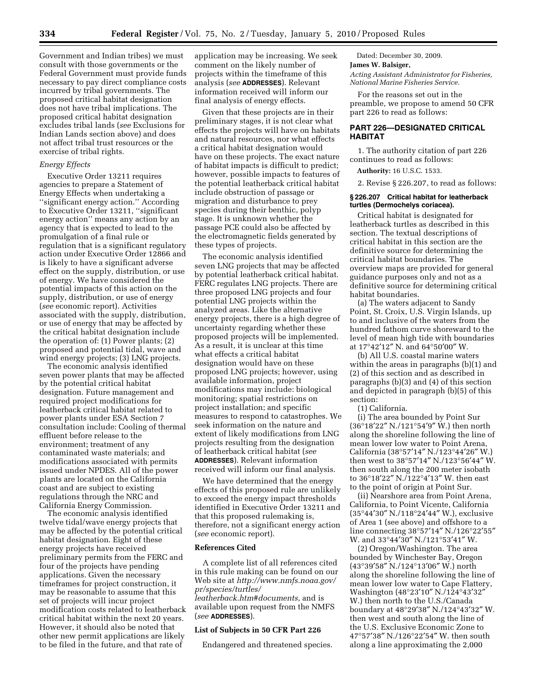Government and Indian tribes) we must consult with those governments or the Federal Government must provide funds necessary to pay direct compliance costs incurred by tribal governments. The proposed critical habitat designation does not have tribal implications. The proposed critical habitat designation excludes tribal lands (*see* Exclusions for Indian Lands section above) and does not affect tribal trust resources or the exercise of tribal rights.

## *Energy Effects*

Executive Order 13211 requires agencies to prepare a Statement of Energy Effects when undertaking a ''significant energy action.'' According to Executive Order 13211, ''significant energy action'' means any action by an agency that is expected to lead to the promulgation of a final rule or regulation that is a significant regulatory action under Executive Order 12866 and is likely to have a significant adverse effect on the supply, distribution, or use of energy. We have considered the potential impacts of this action on the supply, distribution, or use of energy (*see* economic report). Activities associated with the supply, distribution, or use of energy that may be affected by the critical habitat designation include the operation of: (1) Power plants; (2) proposed and potential tidal, wave and wind energy projects; (3) LNG projects.

The economic analysis identified seven power plants that may be affected by the potential critical habitat designation. Future management and required project modifications for leatherback critical habitat related to power plants under ESA Section 7 consultation include: Cooling of thermal effluent before release to the environment; treatment of any contaminated waste materials; and modifications associated with permits issued under NPDES. All of the power plants are located on the California coast and are subject to existing regulations through the NRC and California Energy Commission.

The economic analysis identified twelve tidal/wave energy projects that may be affected by the potential critical habitat designation. Eight of these energy projects have received preliminary permits from the FERC and four of the projects have pending applications. Given the necessary timeframes for project construction, it may be reasonable to assume that this set of projects will incur project modification costs related to leatherback critical habitat within the next 20 years. However, it should also be noted that other new permit applications are likely to be filed in the future, and that rate of

application may be increasing. We seek comment on the likely number of projects within the timeframe of this analysis (*see* **ADDRESSES**). Relevant information received will inform our final analysis of energy effects.

Given that these projects are in their preliminary stages, it is not clear what effects the projects will have on habitats and natural resources, nor what effects a critical habitat designation would have on these projects. The exact nature of habitat impacts is difficult to predict; however, possible impacts to features of the potential leatherback critical habitat include obstruction of passage or migration and disturbance to prey species during their benthic, polyp stage. It is unknown whether the passage PCE could also be affected by the electromagnetic fields generated by these types of projects.

The economic analysis identified seven LNG projects that may be affected by potential leatherback critical habitat. FERC regulates LNG projects. There are three proposed LNG projects and four potential LNG projects within the analyzed areas. Like the alternative energy projects, there is a high degree of uncertainty regarding whether these proposed projects will be implemented. As a result, it is unclear at this time what effects a critical habitat designation would have on these proposed LNG projects; however, using available information, project modifications may include: biological monitoring; spatial restrictions on project installation; and specific measures to respond to catastrophes. We seek information on the nature and extent of likely modifications from LNG projects resulting from the designation of leatherback critical habitat (*see*  **ADDRESSES**). Relevant information received will inform our final analysis.

We have determined that the energy effects of this proposed rule are unlikely to exceed the energy impact thresholds identified in Executive Order 13211 and that this proposed rulemaking is, therefore, not a significant energy action (*see* economic report).

## **References Cited**

A complete list of all references cited in this rule making can be found on our Web site at *http://www.nmfs.noaa.gov/ pr/species/turtles/ leatherback.htm#documents,* and is available upon request from the NMFS (*see* **ADDRESSES**).

## **List of Subjects in 50 CFR Part 226**

Endangered and threatened species.

Dated: December 30, 2009.

## **James W. Balsiger,**

*Acting Assistant Administrator for Fisheries, National Marine Fisheries Service.* 

For the reasons set out in the preamble, we propose to amend 50 CFR part 226 to read as follows:

## **PART 226—DESIGNATED CRITICAL HABITAT**

1. The authority citation of part 226 continues to read as follows:

**Authority:** 16 U.S.C. 1533.

2. Revise § 226.207, to read as follows:

## **§ 226.207 Critical habitat for leatherback turtles (Dermochelys coriacea).**

Critical habitat is designated for leatherback turtles as described in this section. The textual descriptions of critical habitat in this section are the definitive source for determining the critical habitat boundaries. The overview maps are provided for general guidance purposes only and not as a definitive source for determining critical habitat boundaries.

(a) The waters adjacent to Sandy Point, St. Croix, U.S. Virgin Islands, up to and inclusive of the waters from the hundred fathom curve shoreward to the level of mean high tide with boundaries at 17°42′12″ N. and 64°50′00″ W.

(b) All U.S. coastal marine waters within the areas in paragraphs (b)(1) and (2) of this section and as described in paragraphs (b)(3) and (4) of this section and depicted in paragraph (b)(5) of this section:

(1) California.

(i) The area bounded by Point Sur (36°18′22″ N./121°54′9″ W.) then north along the shoreline following the line of mean lower low water to Point Arena, California (38°57′14″ N./123°44′26″ W.) then west to 38°57′14″ N./123°56′44″ W. then south along the 200 meter isobath to 36°18′22″ N./122°4′13″ W. then east to the point of origin at Point Sur.

(ii) Nearshore area from Point Arena, California, to Point Vicente, California (35°44′30″ N./118°24′44″ W.), exclusive of Area 1 (see above) and offshore to a line connecting 38°57′14″ N./126°22′55″ W. and 33°44′30″ N./121°53′41″ W.

(2) Oregon/Washington. The area bounded by Winchester Bay, Oregon (43°39′58″ N./124°13′06″ W.) north along the shoreline following the line of mean lower low water to Cape Flattery, Washington (48°23′10″ N./124°43′32″ W.) then north to the U.S./Canada boundary at 48°29′38″ N./124°43′32″ W. then west and south along the line of the U.S. Exclusive Economic Zone to 47°57′38″ N./126°22′54″ W. then south along a line approximating the 2,000